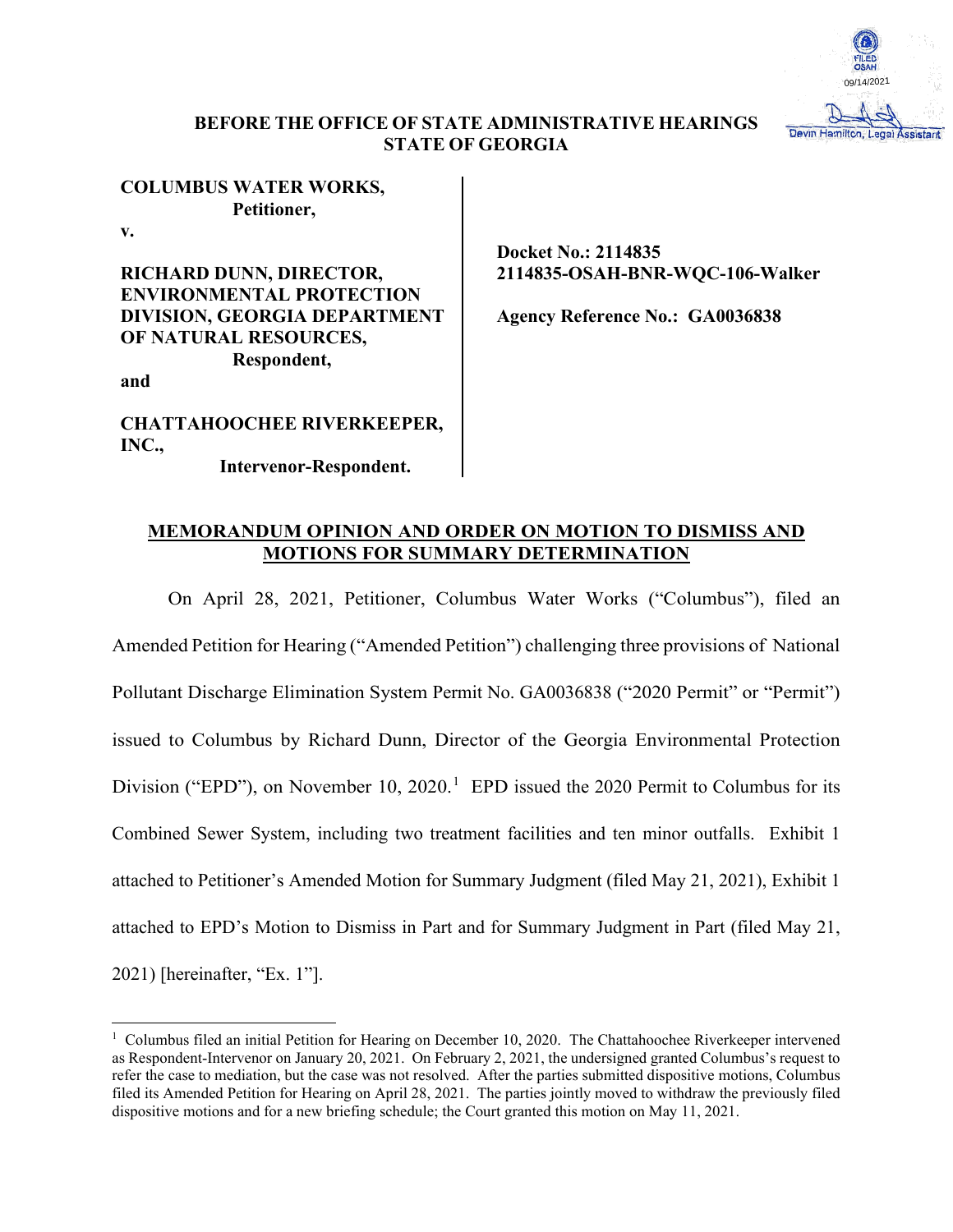

# **BEFORE THE OFFICE OF STATE ADMINISTRATIVE HEARINGS STATE OF GEORGIA**

# **COLUMBUS WATER WORKS, Petitioner,**

**v.**

**RICHARD DUNN, DIRECTOR, ENVIRONMENTAL PROTECTION DIVISION, GEORGIA DEPARTMENT OF NATURAL RESOURCES, Respondent,**

**and**

**CHATTAHOOCHEE RIVERKEEPER, INC.,**

 **Intervenor-Respondent.**

**Docket No.: 2114835 2114835-OSAH-BNR-WQC-106-Walker**

**Agency Reference No.: GA0036838**

# **MEMORANDUM OPINION AND ORDER ON MOTION TO DISMISS AND MOTIONS FOR SUMMARY DETERMINATION**

On April 28, 2021, Petitioner, Columbus Water Works ("Columbus"), filed an Amended Petition for Hearing ("Amended Petition") challenging three provisions of National Pollutant Discharge Elimination System Permit No. GA0036838 ("2020 Permit" or "Permit") issued to Columbus by Richard Dunn, Director of the Georgia Environmental Protection Division ("EPD"), on November [1](#page-0-0)0, 2020.<sup>1</sup> EPD issued the 2020 Permit to Columbus for its Combined Sewer System, including two treatment facilities and ten minor outfalls. Exhibit 1 attached to Petitioner's Amended Motion for Summary Judgment (filed May 21, 2021), Exhibit 1 attached to EPD's Motion to Dismiss in Part and for Summary Judgment in Part (filed May 21, 2021) [hereinafter, "Ex. 1"].

<span id="page-0-0"></span><sup>&</sup>lt;sup>1</sup> Columbus filed an initial Petition for Hearing on December 10, 2020. The Chattahoochee Riverkeeper intervened as Respondent-Intervenor on January 20, 2021. On February 2, 2021, the undersigned granted Columbus's request to refer the case to mediation, but the case was not resolved. After the parties submitted dispositive motions, Columbus filed its Amended Petition for Hearing on April 28, 2021. The parties jointly moved to withdraw the previously filed dispositive motions and for a new briefing schedule; the Court granted this motion on May 11, 2021.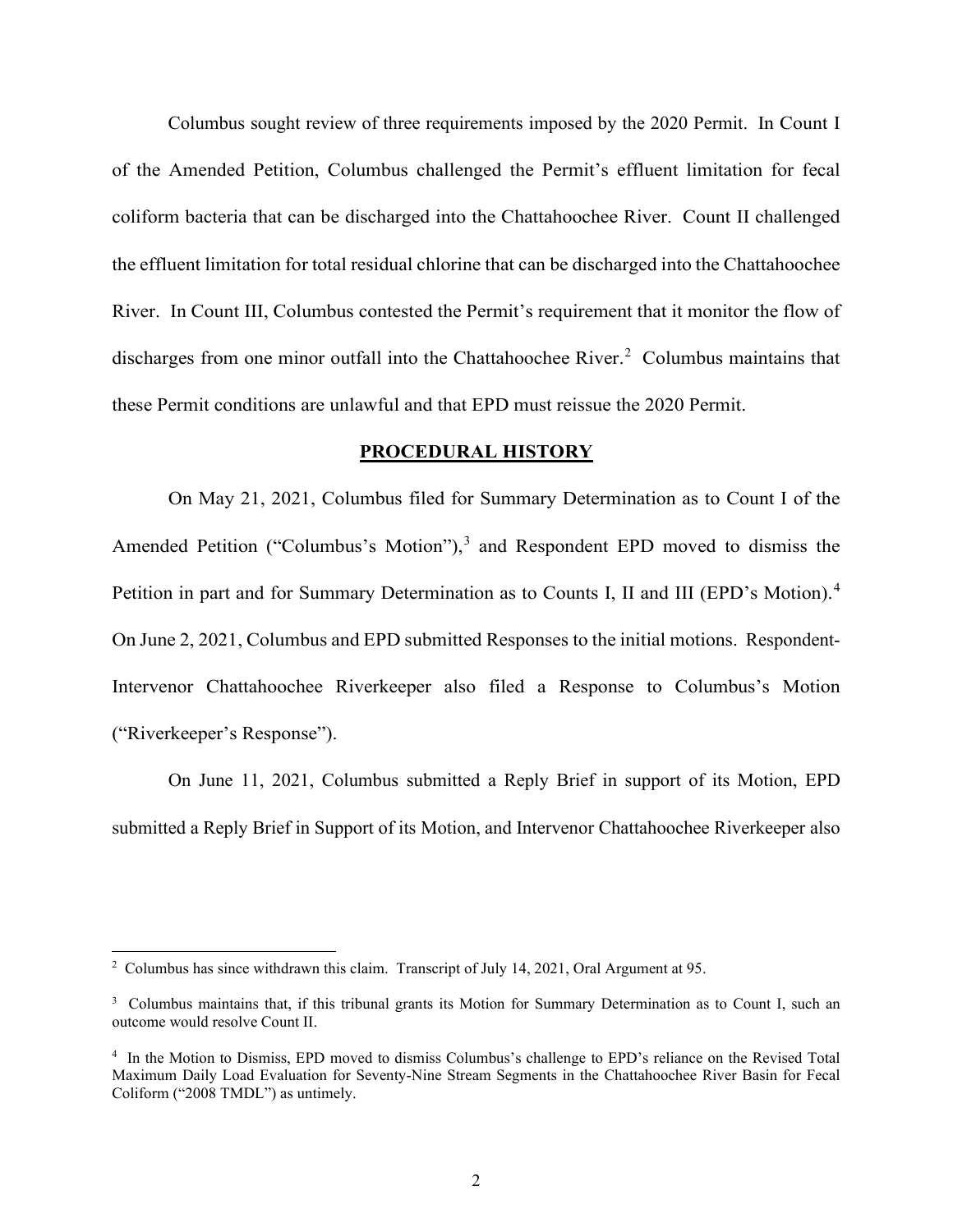Columbus sought review of three requirements imposed by the 2020 Permit. In Count I of the Amended Petition, Columbus challenged the Permit's effluent limitation for fecal coliform bacteria that can be discharged into the Chattahoochee River. Count II challenged the effluent limitation for total residual chlorine that can be discharged into the Chattahoochee River. In Count III, Columbus contested the Permit's requirement that it monitor the flow of discharges from one minor outfall into the Chattahoochee River.<sup>[2](#page-1-0)</sup> Columbus maintains that these Permit conditions are unlawful and that EPD must reissue the 2020 Permit.

### **PROCEDURAL HISTORY**

On May 21, 2021, Columbus filed for Summary Determination as to Count I of the Amended Petition ("Columbus's Motion"), [3](#page-1-1) and Respondent EPD moved to dismiss the Petition in part and for Summary Determination as to Counts I, II and III (EPD's Motion).<sup>[4](#page-1-2)</sup> On June 2, 2021, Columbus and EPD submitted Responses to the initial motions. Respondent-Intervenor Chattahoochee Riverkeeper also filed a Response to Columbus's Motion ("Riverkeeper's Response").

On June 11, 2021, Columbus submitted a Reply Brief in support of its Motion, EPD submitted a Reply Brief in Support of its Motion, and Intervenor Chattahoochee Riverkeeper also

<span id="page-1-0"></span><sup>&</sup>lt;sup>2</sup> Columbus has since withdrawn this claim. Transcript of July 14, 2021, Oral Argument at 95.

<span id="page-1-1"></span><sup>&</sup>lt;sup>3</sup> Columbus maintains that, if this tribunal grants its Motion for Summary Determination as to Count I, such an outcome would resolve Count II.

<span id="page-1-2"></span><sup>&</sup>lt;sup>4</sup> In the Motion to Dismiss, EPD moved to dismiss Columbus's challenge to EPD's reliance on the Revised Total Maximum Daily Load Evaluation for Seventy-Nine Stream Segments in the Chattahoochee River Basin for Fecal Coliform ("2008 TMDL") as untimely.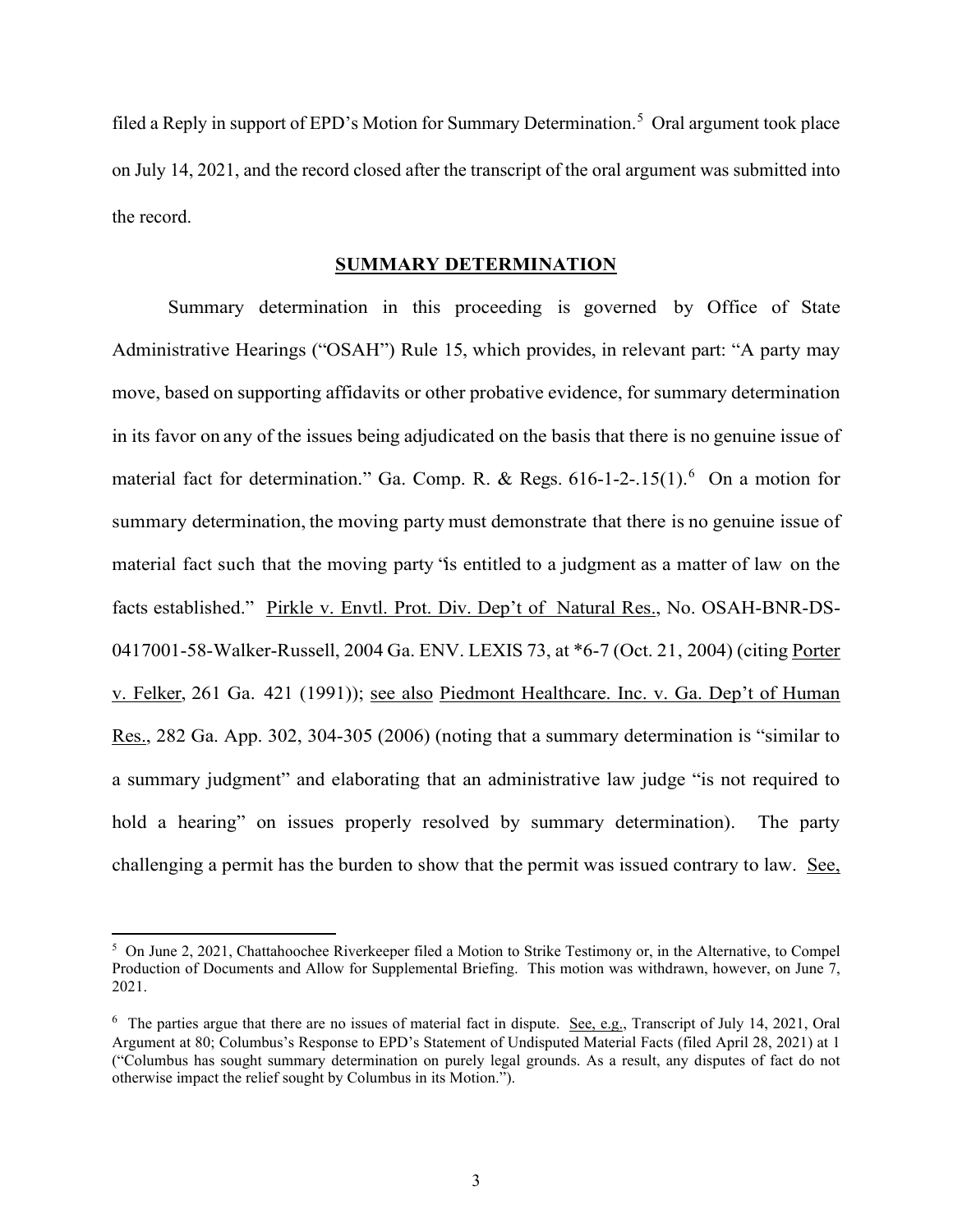filed a Reply in support of EPD's Motion for Summary Determination.<sup>[5](#page-2-0)</sup> Oral argument took place on July 14, 2021, and the record closed after the transcript of the oral argument was submitted into the record.

## **SUMMARY DETERMINATION**

Summary determination in this proceeding is governed by Office of State Administrative Hearings ("OSAH") Rule 15, which provides, in relevant part: "A party may move, based on supporting affidavits or other probative evidence, for summary determination in its favor on any of the issues being adjudicated on the basis that there is no genuine issue of material fact for determination." Ga. Comp. R. & Regs.  $616-1-2-15(1)$  $616-1-2-15(1)$ . On a motion for summary determination, the moving party must demonstrate that there is no genuine issue of material fact such that the moving party "is entitled to a judgment as a matter of law on the facts established." Pirkle v. Envtl. Prot. Div. Dep't of Natural Res., No. OSAH-BNR-DS-0417001-58-Walker-Russell, 2004 Ga. ENV. LEXIS 73, at \*6-7 (Oct. 21, 2004) (citing Porter v. Felker, 261 Ga. 421 (1991)); see also Piedmont Healthcare. Inc. v. Ga. Dep't of Human Res., 282 Ga. App. 302, 304-305 (2006) (noting that a summary determination is "similar to a summary judgment" and elaborating that an administrative law judge "is not required to hold a hearing" on issues properly resolved by summary determination). The party challenging a permit has the burden to show that the permit was issued contrary to law. See,

<span id="page-2-0"></span><sup>&</sup>lt;sup>5</sup> On June 2, 2021, Chattahoochee Riverkeeper filed a Motion to Strike Testimony or, in the Alternative, to Compel Production of Documents and Allow for Supplemental Briefing. This motion was withdrawn, however, on June 7, 2021.

<span id="page-2-1"></span><sup>&</sup>lt;sup>6</sup> The parties argue that there are no issues of material fact in dispute. See, e.g., Transcript of July 14, 2021, Oral Argument at 80; Columbus's Response to EPD's Statement of Undisputed Material Facts (filed April 28, 2021) at 1 ("Columbus has sought summary determination on purely legal grounds. As a result, any disputes of fact do not otherwise impact the relief sought by Columbus in its Motion.").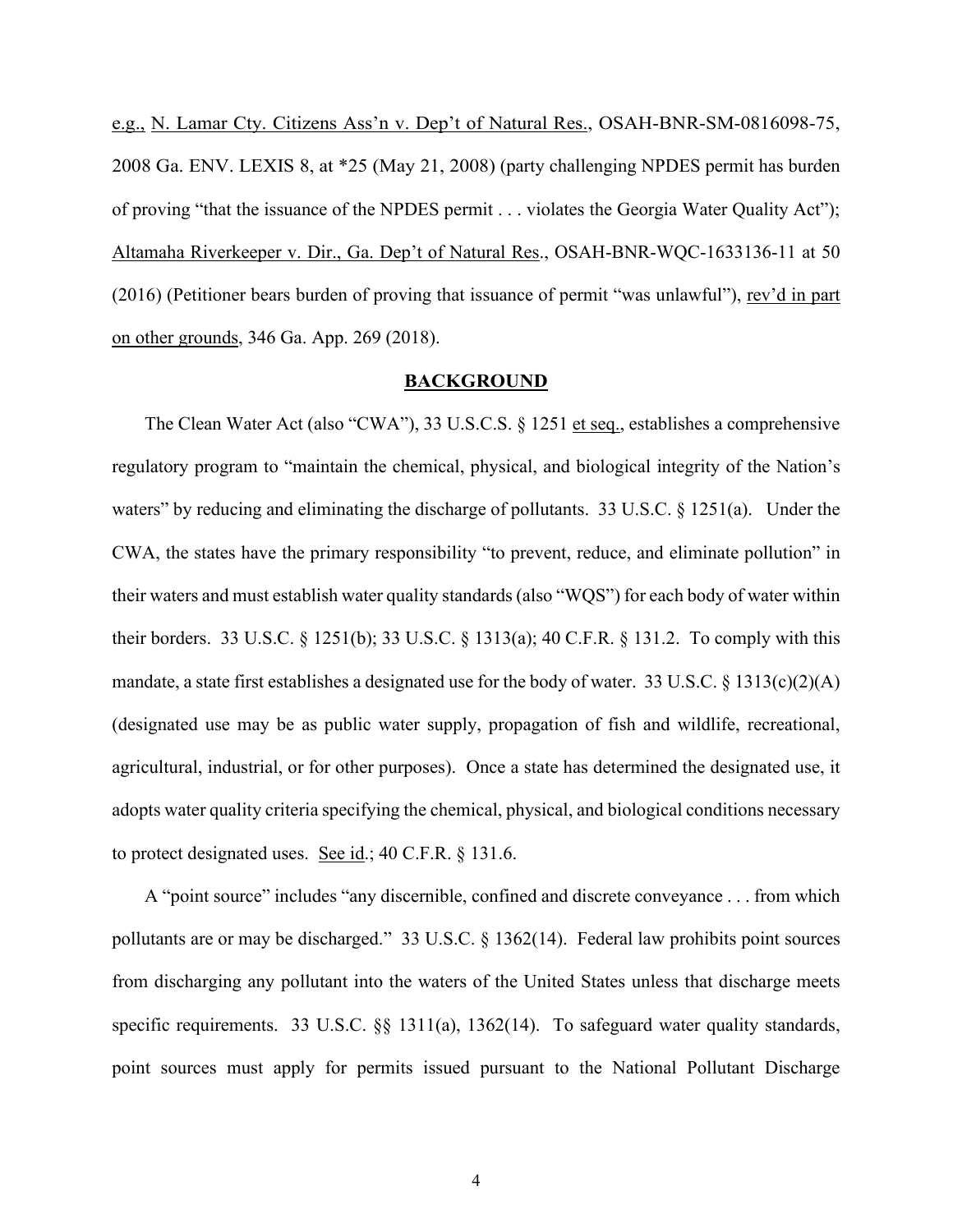e.g., N. Lamar Cty. Citizens Ass'n v. Dep't of Natural Res., OSAH-BNR-SM-0816098-75, 2008 Ga. ENV. LEXIS 8, at \*25 (May 21, 2008) (party challenging NPDES permit has burden of proving "that the issuance of the NPDES permit . . . violates the Georgia Water Quality Act"); Altamaha Riverkeeper v. Dir., Ga. Dep't of Natural Res., OSAH-BNR-WQC-1633136-11 at 50 (2016) (Petitioner bears burden of proving that issuance of permit "was unlawful"), rev'd in part on other grounds, 346 Ga. App. 269 (2018).

#### **BACKGROUND**

The Clean Water Act (also "CWA"), 33 U.S.C.S. § 1251 et seq., establishes a comprehensive regulatory program to "maintain the chemical, physical, and biological integrity of the Nation's waters" by reducing and eliminating the discharge of pollutants. 33 U.S.C. § 1251(a). Under the CWA, the states have the primary responsibility "to prevent, reduce, and eliminate pollution" in their waters and must establish water quality standards (also "WQS") for each body of water within their borders. 33 U.S.C. § 1251(b); 33 U.S.C. § 1313(a); 40 C.F.R. § 131.2. To comply with this mandate, a state first establishes a designated use for the body of water. 33 U.S.C. § 1313(c)(2)(A) (designated use may be as public water supply, propagation of fish and wildlife, recreational, agricultural, industrial, or for other purposes). Once a state has determined the designated use, it adopts water quality criteria specifying the chemical, physical, and biological conditions necessary to protect designated uses. See id.; 40 C.F.R. § 131.6.

A "point source" includes "any discernible, confined and discrete conveyance . . . from which pollutants are or may be discharged." 33 U.S.C. § 1362(14). Federal law prohibits point sources from discharging any pollutant into the waters of the United States unless that discharge meets specific requirements. 33 U.S.C. §§ 1311(a), 1362(14). To safeguard water quality standards, point sources must apply for permits issued pursuant to the National Pollutant Discharge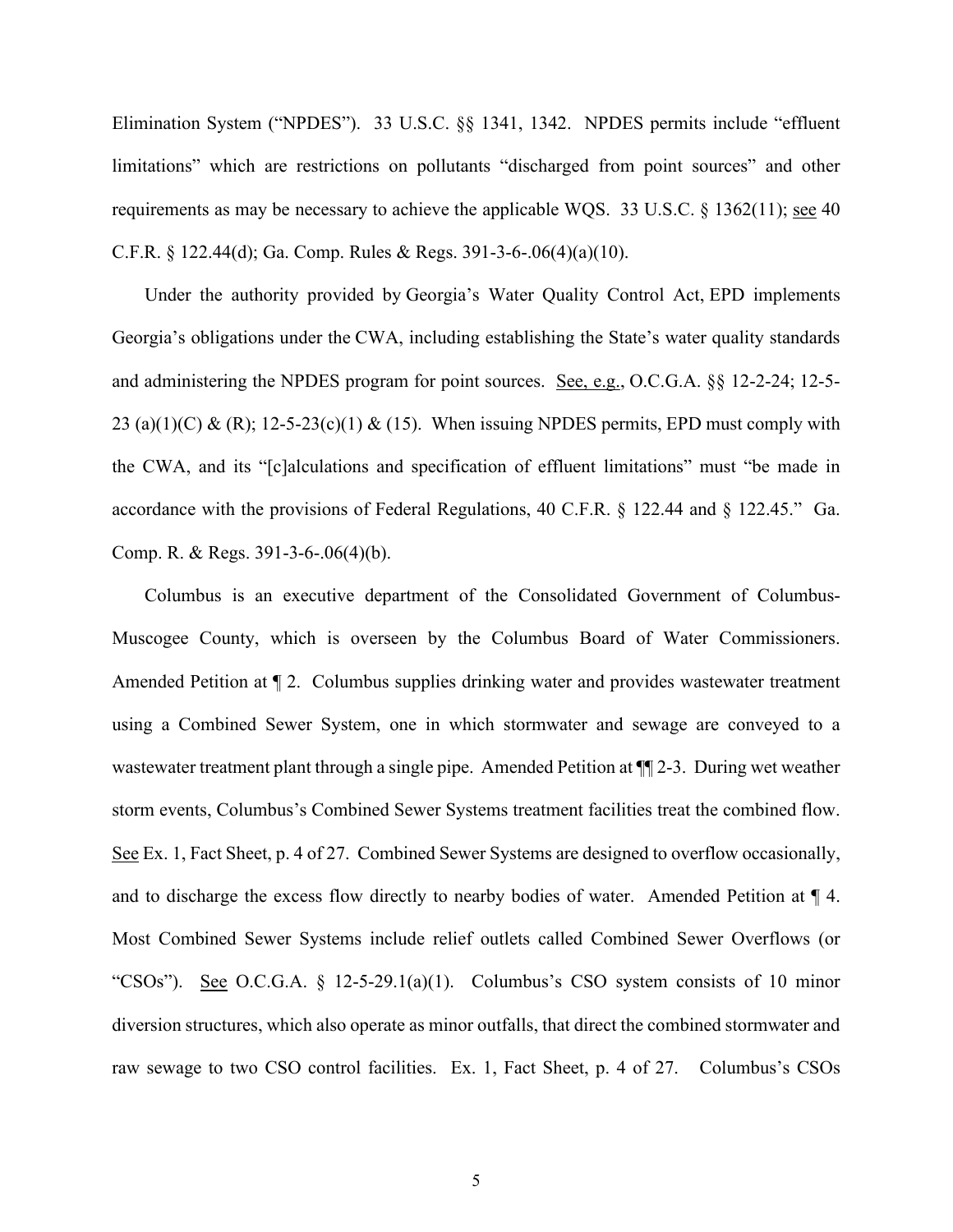Elimination System ("NPDES"). 33 U.S.C. §§ 1341, 1342. NPDES permits include "effluent limitations" which are restrictions on pollutants "discharged from point sources" and other requirements as may be necessary to achieve the applicable WQS. [33 U.S.C. § 1362\(11\);](https://advance.lexis.com/api/document?collection=statutes-legislation&id=urn:contentItem:8TXT-5YC2-D6RV-H3GN-00000-00&context=1000516) see 40 C.F.R. § 122.44(d); Ga. Comp. Rules & Regs. 391-3-6-.06(4)(a)(10).

Under the authority provided by Georgia's Water Quality Control Act, EPD implements Georgia's obligations under the CWA, including establishing the State's water quality standards and administering the NPDES program for point sources. See, e.g., O.C.G.A. §§ 12-2-24; 12-5- 23 (a)(1)(C) & (R); 12-5-23(c)(1) & (15). When issuing NPDES permits, EPD must comply with the CWA, and its "[c]alculations and specification of effluent limitations" must "be made in accordance with the provisions of Federal Regulations, 40 C.F.R. § 122.44 and § 122.45." Ga. Comp. R. & Regs. 391-3-6-.06(4)(b).

Columbus is an executive department of the Consolidated Government of Columbus-Muscogee County, which is overseen by the Columbus Board of Water Commissioners. Amended Petition at ¶ 2. Columbus supplies drinking water and provides wastewater treatment using a Combined Sewer System, one in which stormwater and sewage are conveyed to a wastewater treatment plant through a single pipe. Amended Petition at  $\P$ [2-3. During wet weather storm events, Columbus's Combined Sewer Systems treatment facilities treat the combined flow. See Ex. 1, Fact Sheet, p. 4 of 27. Combined Sewer Systems are designed to overflow occasionally, and to discharge the excess flow directly to nearby bodies of water. Amended Petition at ¶ 4. Most Combined Sewer Systems include relief outlets called Combined Sewer Overflows (or "CSOs"). See O.C.G.A. § 12-5-29.1(a)(1). Columbus's CSO system consists of 10 minor diversion structures, which also operate as minor outfalls, that direct the combined stormwater and raw sewage to two CSO control facilities. Ex. 1, Fact Sheet, p. 4 of 27. Columbus's CSOs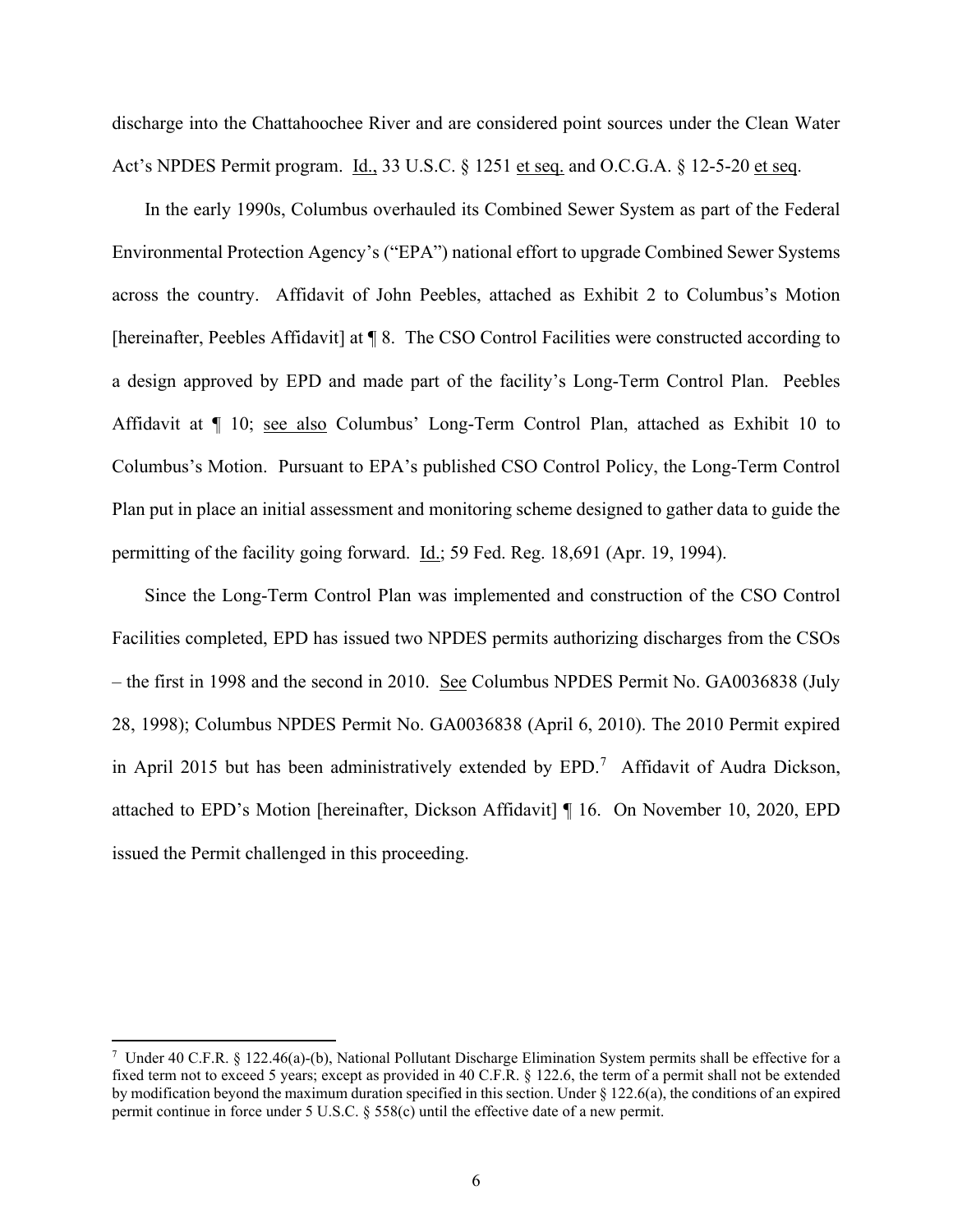discharge into the Chattahoochee River and are considered point sources under the Clean Water Act's NPDES Permit program. Id., 33 U.S.C. § 1251 et seq. and O.C.G.A. § 12-5-20 et seq.

In the early 1990s, Columbus overhauled its Combined Sewer System as part of the Federal Environmental Protection Agency's ("EPA") national effort to upgrade Combined Sewer Systems across the country. Affidavit of John Peebles, attached as Exhibit 2 to Columbus's Motion [hereinafter, Peebles Affidavit] at ¶ 8. The CSO Control Facilities were constructed according to a design approved by EPD and made part of the facility's Long-Term Control Plan. Peebles Affidavit at ¶ 10; see also Columbus' Long-Term Control Plan, attached as Exhibit 10 to Columbus's Motion. Pursuant to EPA's published CSO Control Policy, the Long-Term Control Plan put in place an initial assessment and monitoring scheme designed to gather data to guide the permitting of the facility going forward. Id.; 59 Fed. Reg. 18,691 (Apr. 19, 1994).

Since the Long-Term Control Plan was implemented and construction of the CSO Control Facilities completed, EPD has issued two NPDES permits authorizing discharges from the CSOs – the first in 1998 and the second in 2010. See Columbus NPDES Permit No. GA0036838 (July 28, 1998); Columbus NPDES Permit No. GA0036838 (April 6, 2010). The 2010 Permit expired in April 2015 but has been administratively extended by  $EPD$ .<sup>[7](#page-5-0)</sup> Affidavit of Audra Dickson, attached to EPD's Motion [hereinafter, Dickson Affidavit] ¶ 16. On November 10, 2020, EPD issued the Permit challenged in this proceeding.

<span id="page-5-0"></span><sup>&</sup>lt;sup>7</sup> Under 40 C.F.R. § 122.46(a)-(b), National Pollutant Discharge Elimination System permits shall be effective for a fixed term not to exceed 5 years; except as provided in 40 C.F.R. § 122.6, the term of a permit shall not be extended by modification beyond the maximum duration specified in this section. Under § 122.6(a), the conditions of an expired permit continue in force under 5 U.S.C. § 558(c) until the effective date of a new permit.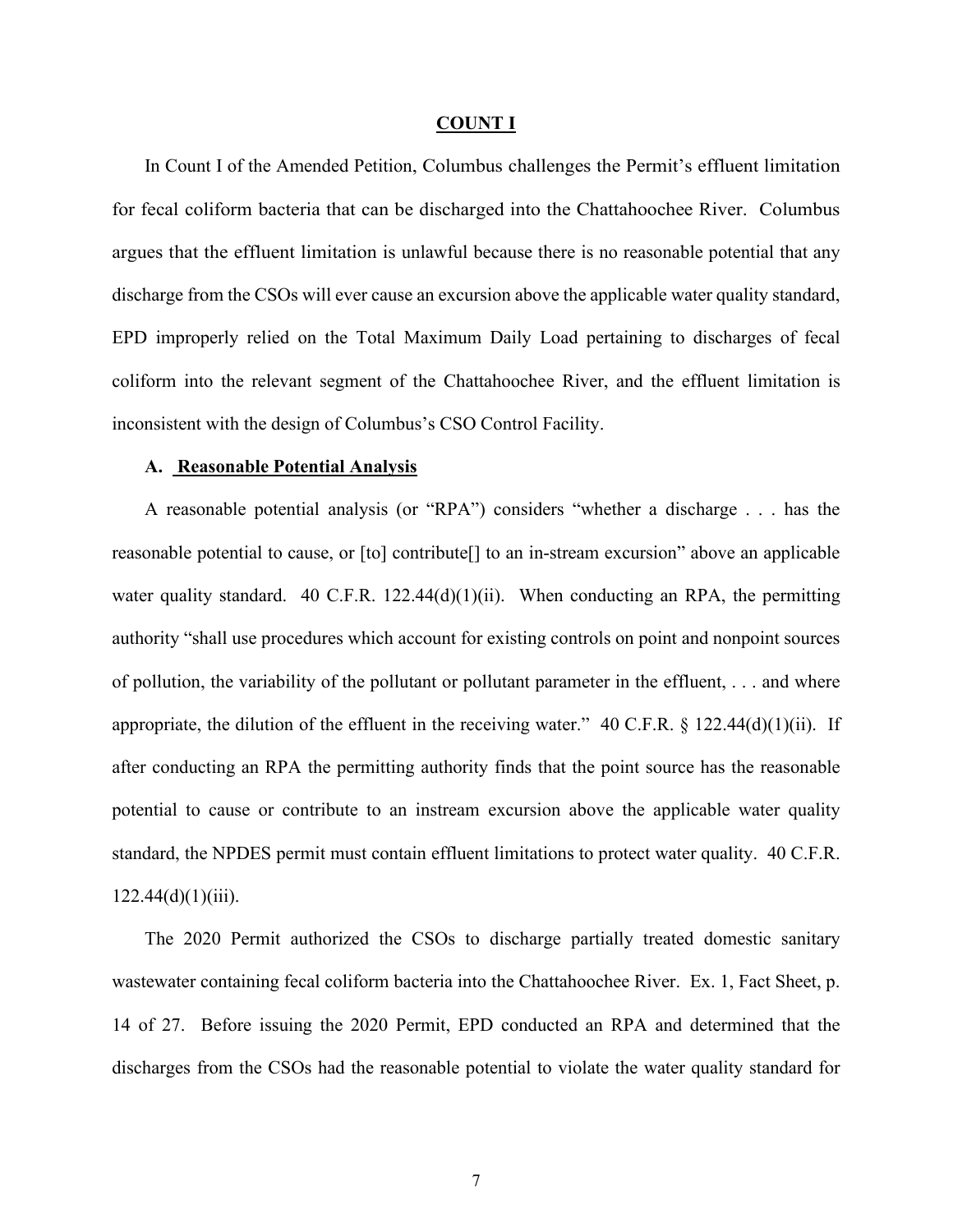#### **COUNT I**

In Count I of the Amended Petition, Columbus challenges the Permit's effluent limitation for fecal coliform bacteria that can be discharged into the Chattahoochee River. Columbus argues that the effluent limitation is unlawful because there is no reasonable potential that any discharge from the CSOs will ever cause an excursion above the applicable water quality standard, EPD improperly relied on the Total Maximum Daily Load pertaining to discharges of fecal coliform into the relevant segment of the Chattahoochee River, and the effluent limitation is inconsistent with the design of Columbus's CSO Control Facility.

#### **A. Reasonable Potential Analysis**

A reasonable potential analysis (or "RPA") considers "whether a discharge . . . has the reasonable potential to cause, or [to] contribute[] to an in-stream excursion" above an applicable water quality standard. 40 C.F.R.  $122.44(d)(1)(ii)$ . When conducting an RPA, the permitting authority "shall use procedures which account for existing controls on point and nonpoint sources of pollution, the variability of the pollutant or pollutant parameter in the effluent, . . . and where appropriate, the dilution of the effluent in the receiving water."  $40 \text{ C.F.R. }$  § 122.44(d)(1)(ii). If after conducting an RPA the permitting authority finds that the point source has the reasonable potential to cause or contribute to an instream excursion above the applicable water quality standard, the NPDES permit must contain effluent limitations to protect water quality. 40 C.F.R.  $122.44(d)(1)(iii)$ .

The 2020 Permit authorized the CSOs to discharge partially treated domestic sanitary wastewater containing fecal coliform bacteria into the Chattahoochee River. Ex. 1, Fact Sheet, p. 14 of 27. Before issuing the 2020 Permit, EPD conducted an RPA and determined that the discharges from the CSOs had the reasonable potential to violate the water quality standard for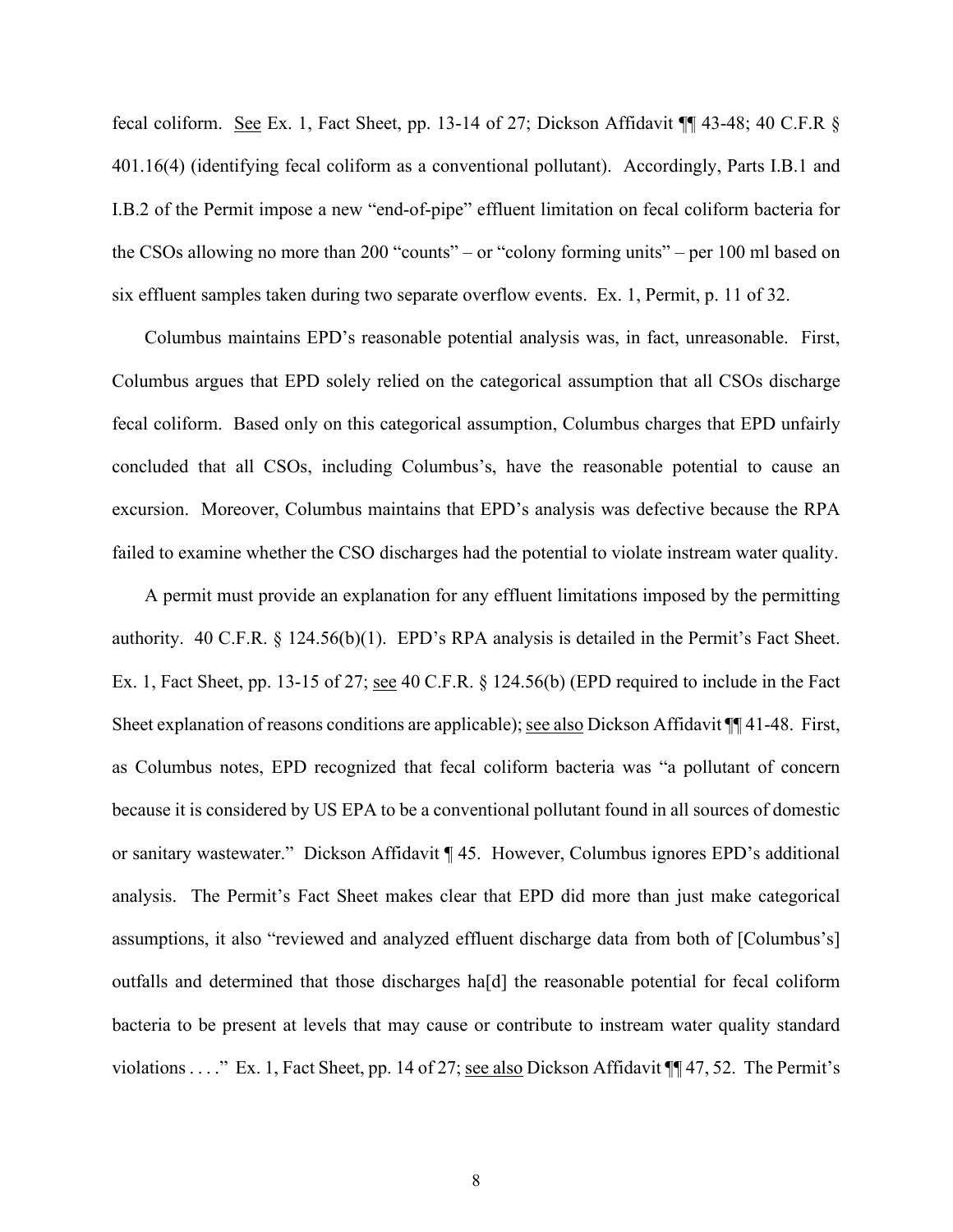fecal coliform. See Ex. 1, Fact Sheet, pp. 13-14 of 27; Dickson Affidavit 1143-48; 40 C.F.R § 401.16(4) (identifying fecal coliform as a conventional pollutant). Accordingly, Parts I.B.1 and I.B.2 of the Permit impose a new "end-of-pipe" effluent limitation on fecal coliform bacteria for the CSOs allowing no more than 200 "counts" – or "colony forming units" – per 100 ml based on six effluent samples taken during two separate overflow events. Ex. 1, Permit, p. 11 of 32.

Columbus maintains EPD's reasonable potential analysis was, in fact, unreasonable. First, Columbus argues that EPD solely relied on the categorical assumption that all CSOs discharge fecal coliform. Based only on this categorical assumption, Columbus charges that EPD unfairly concluded that all CSOs, including Columbus's, have the reasonable potential to cause an excursion. Moreover, Columbus maintains that EPD's analysis was defective because the RPA failed to examine whether the CSO discharges had the potential to violate instream water quality.

A permit must provide an explanation for any effluent limitations imposed by the permitting authority. 40 C.F.R. § 124.56(b)(1). EPD's RPA analysis is detailed in the Permit's Fact Sheet. Ex. 1, Fact Sheet, pp. 13-15 of 27; <u>see</u> 40 C.F.R. § 124.56(b) (EPD required to include in the Fact Sheet explanation of reasons conditions are applicable); <u>see also</u> Dickson Affidavit ¶ 41-48. First, as Columbus notes, EPD recognized that fecal coliform bacteria was "a pollutant of concern because it is considered by US EPA to be a conventional pollutant found in all sources of domestic or sanitary wastewater." Dickson Affidavit ¶ 45. However, Columbus ignores EPD's additional analysis. The Permit's Fact Sheet makes clear that EPD did more than just make categorical assumptions, it also "reviewed and analyzed effluent discharge data from both of [Columbus's] outfalls and determined that those discharges ha[d] the reasonable potential for fecal coliform bacteria to be present at levels that may cause or contribute to instream water quality standard violations . . . ." Ex. 1, Fact Sheet, pp. 14 of 27; see also Dickson Affidavit ¶¶ 47, 52. The Permit's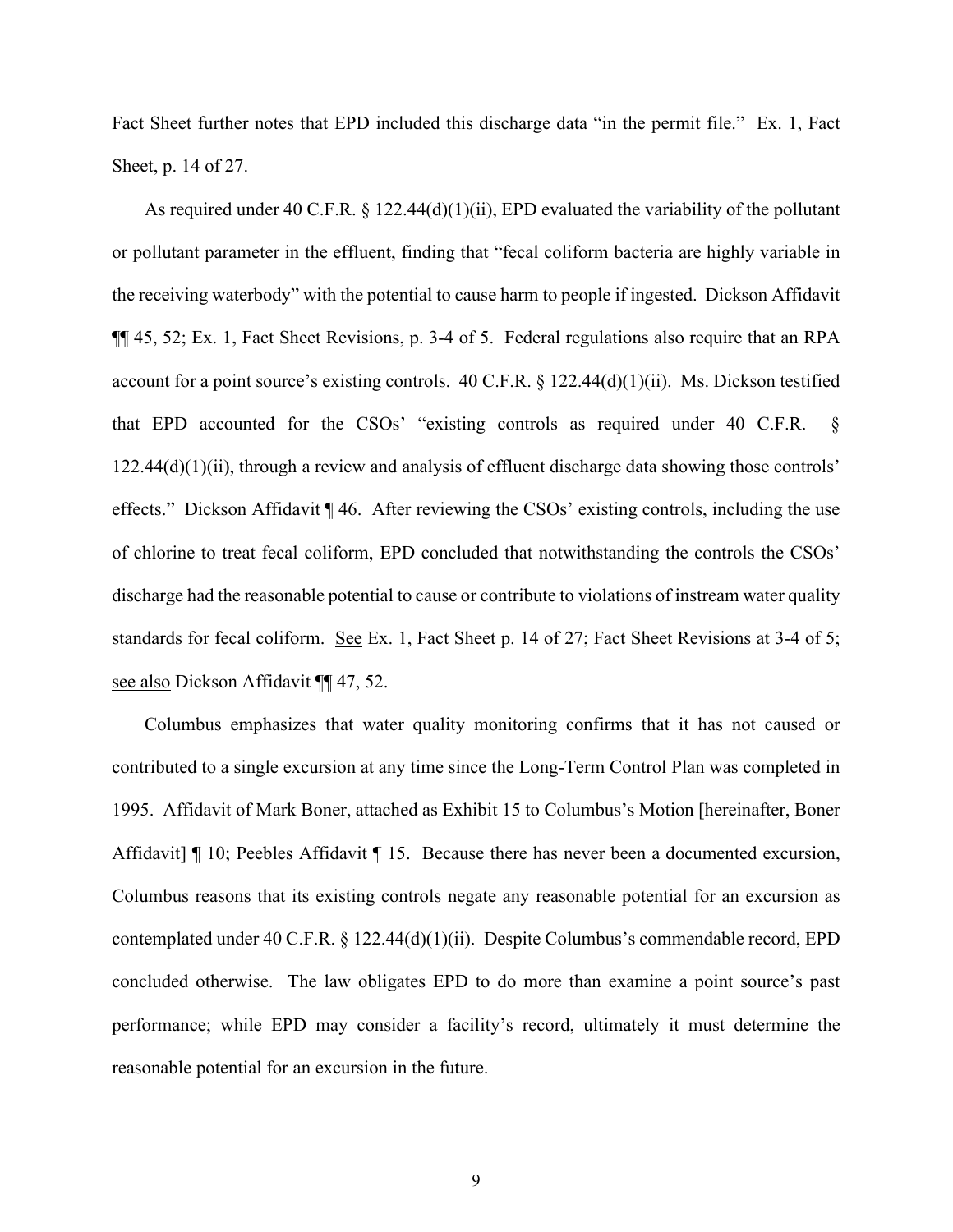Fact Sheet further notes that EPD included this discharge data "in the permit file." Ex. 1, Fact Sheet, p. 14 of 27.

As required under 40 C.F.R. § 122.44(d)(1)(ii), EPD evaluated the variability of the pollutant or pollutant parameter in the effluent, finding that "fecal coliform bacteria are highly variable in the receiving waterbody" with the potential to cause harm to people if ingested. Dickson Affidavit ¶¶ 45, 52; Ex. 1, Fact Sheet Revisions, p. 3-4 of 5. Federal regulations also require that an RPA account for a point source's existing controls. 40 C.F.R. § 122.44(d)(1)(ii). Ms. Dickson testified that EPD accounted for the CSOs' "existing controls as required under 40 C.F.R. §  $122.44(d)(1)(ii)$ , through a review and analysis of effluent discharge data showing those controls' effects." Dickson Affidavit ¶ 46. After reviewing the CSOs' existing controls, including the use of chlorine to treat fecal coliform, EPD concluded that notwithstanding the controls the CSOs' discharge had the reasonable potential to cause or contribute to violations of instream water quality standards for fecal coliform. See Ex. 1, Fact Sheet p. 14 of 27; Fact Sheet Revisions at 3-4 of 5; see also Dickson Affidavit ¶¶ 47, 52.

Columbus emphasizes that water quality monitoring confirms that it has not caused or contributed to a single excursion at any time since the Long-Term Control Plan was completed in 1995. Affidavit of Mark Boner, attached as Exhibit 15 to Columbus's Motion [hereinafter, Boner Affidavit | 10; Peebles Affidavit | 15. Because there has never been a documented excursion, Columbus reasons that its existing controls negate any reasonable potential for an excursion as contemplated under 40 C.F.R. § 122.44(d)(1)(ii). Despite Columbus's commendable record, EPD concluded otherwise. The law obligates EPD to do more than examine a point source's past performance; while EPD may consider a facility's record, ultimately it must determine the reasonable potential for an excursion in the future.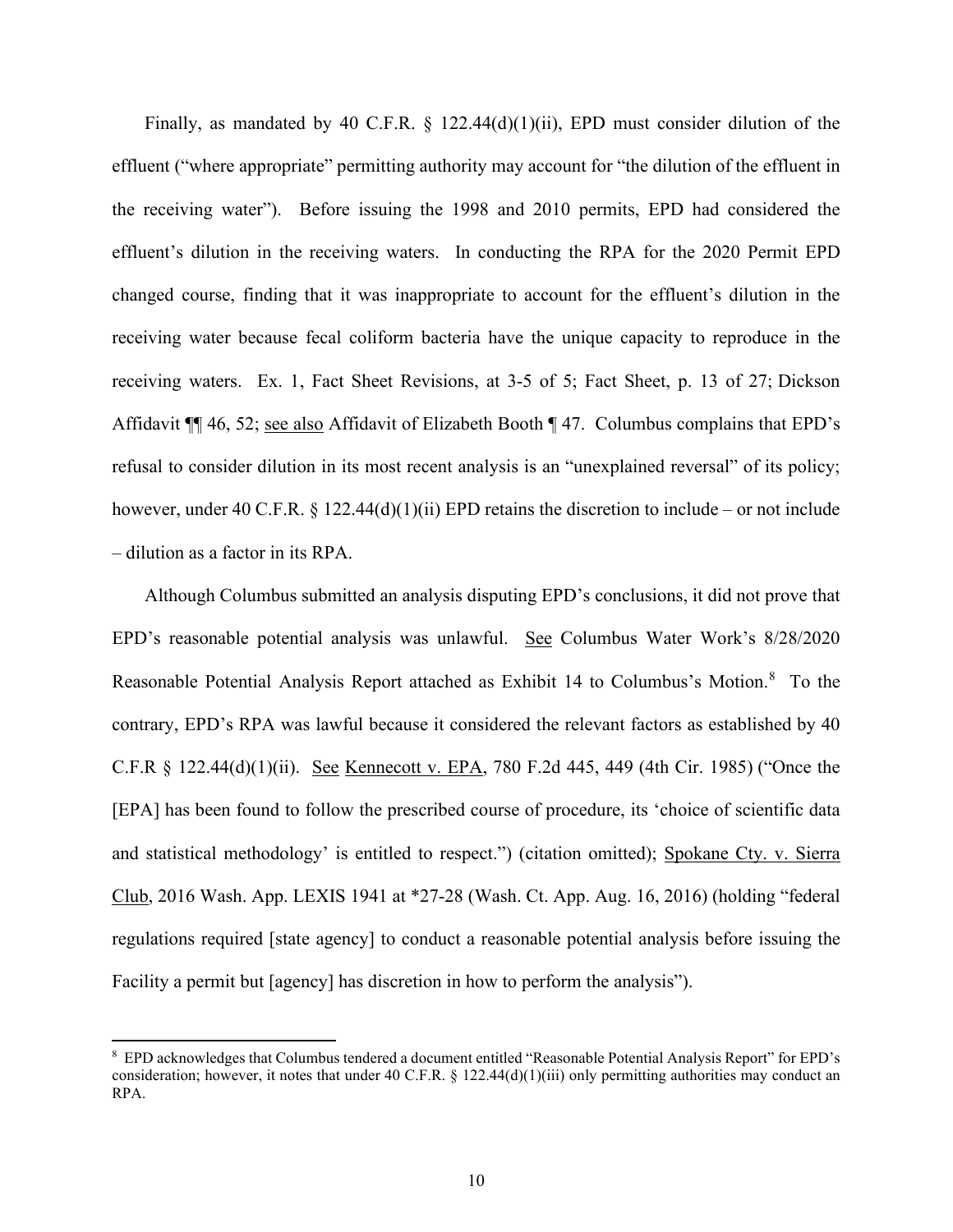Finally, as mandated by 40 C.F.R.  $\S$  122.44(d)(1)(ii), EPD must consider dilution of the effluent ("where appropriate" permitting authority may account for "the dilution of the effluent in the receiving water"). Before issuing the 1998 and 2010 permits, EPD had considered the effluent's dilution in the receiving waters. In conducting the RPA for the 2020 Permit EPD changed course, finding that it was inappropriate to account for the effluent's dilution in the receiving water because fecal coliform bacteria have the unique capacity to reproduce in the receiving waters. Ex. 1, Fact Sheet Revisions, at 3-5 of 5; Fact Sheet, p. 13 of 27; Dickson Affidavit ¶¶ 46, 52; see also Affidavit of Elizabeth Booth ¶ 47. Columbus complains that EPD's refusal to consider dilution in its most recent analysis is an "unexplained reversal" of its policy; however, under 40 C.F.R. § 122.44(d)(1)(ii) EPD retains the discretion to include – or not include – dilution as a factor in its RPA.

Although Columbus submitted an analysis disputing EPD's conclusions, it did not prove that EPD's reasonable potential analysis was unlawful. See Columbus Water Work's 8/28/2020 Reasonable Potential Analysis Report attached as Exhibit 14 to Columbus's Motion.<sup>[8](#page-9-0)</sup> To the contrary, EPD's RPA was lawful because it considered the relevant factors as established by 40 C.F.R § 122.44(d)(1)(ii). See Kennecott v. EPA, 780 F.2d 445, 449 (4th Cir. 1985) ("Once the [EPA] has been found to follow the prescribed course of procedure, its 'choice of scientific data and statistical methodology' is entitled to respect.") (citation omitted); Spokane Cty. v. Sierra Club, 2016 Wash. App. LEXIS 1941 at \*27-28 (Wash. Ct. App. Aug. 16, 2016) (holding "federal regulations required [state agency] to conduct a reasonable potential analysis before issuing the Facility a permit but [agency] has discretion in how to perform the analysis").

<span id="page-9-0"></span><sup>&</sup>lt;sup>8</sup> EPD acknowledges that Columbus tendered a document entitled "Reasonable Potential Analysis Report" for EPD's consideration; however, it notes that under 40 C.F.R.  $\S$  122.44(d)(1)(iii) only permitting authorities may conduct an RPA.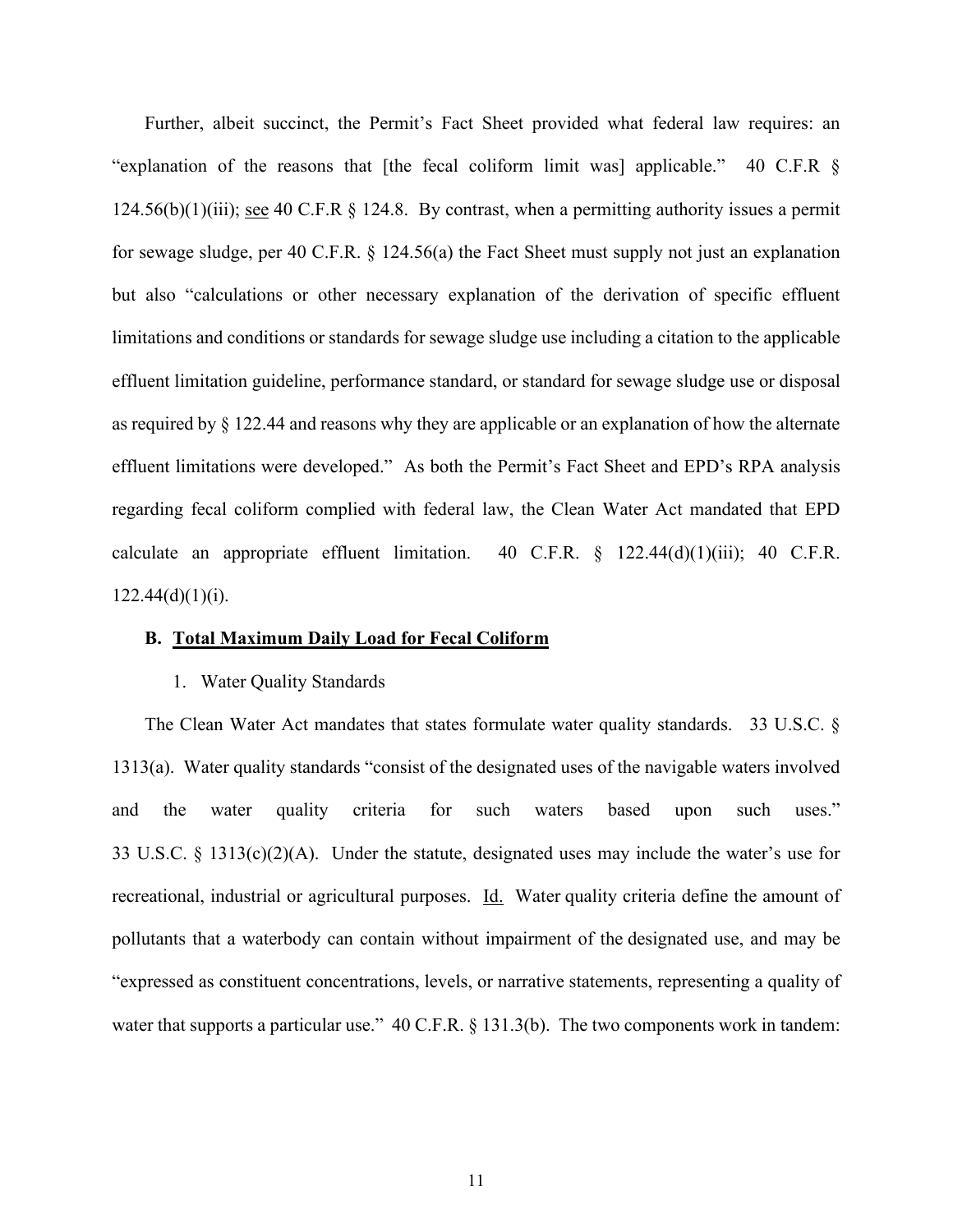Further, albeit succinct, the Permit's Fact Sheet provided what federal law requires: an "explanation of the reasons that [the fecal coliform limit was] applicable." 40 C.F.R § 124.56(b)(1)(iii); see 40 C.F.R  $\S$  124.8. By contrast, when a permitting authority issues a permit for sewage sludge, per 40 C.F.R. § 124.56(a) the Fact Sheet must supply not just an explanation but also "calculations or other necessary explanation of the derivation of specific effluent limitations and conditions or standards for sewage sludge use including a citation to the applicable effluent limitation guideline, performance standard, or standard for sewage sludge use or disposal as required by § 122.44 and reasons why they are applicable or an explanation of how the alternate effluent limitations were developed." As both the Permit's Fact Sheet and EPD's RPA analysis regarding fecal coliform complied with federal law, the Clean Water Act mandated that EPD calculate an appropriate effluent limitation. 40 C.F.R.  $\S$  122.44(d)(1)(iii); 40 C.F.R.  $122.44(d)(1)(i).$ 

### **B. Total Maximum Daily Load for Fecal Coliform**

#### 1. Water Quality Standards

The Clean Water Act mandates that states formulate water quality standards. 33 U.S.C. § 1313(a). Water quality standards "consist of the designated uses of the navigable waters involved and the water quality criteria for such waters based upon such uses." 33 U.S.C. § 1313(c)(2)(A). Under the statute, designated uses may include the water's use for recreational, industrial or agricultural purposes. Id. Water quality criteria define the amount of pollutants that a waterbody can contain without impairment of the designated use, and may be "expressed as constituent concentrations, levels, or narrative statements, representing a quality of water that supports a particular use." 40 C.F.R. § 131.3(b). The two components work in tandem: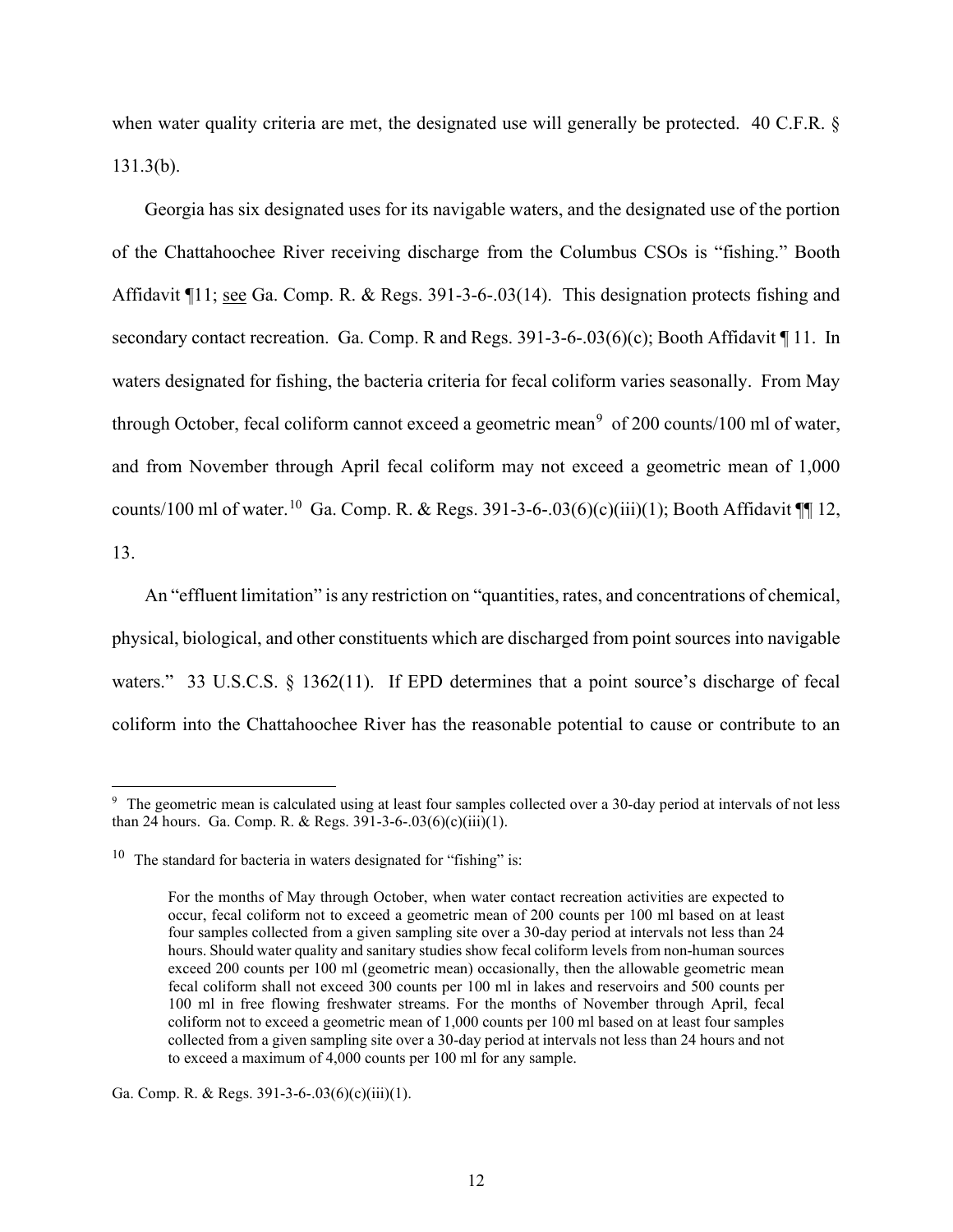when water quality criteria are met, the designated use will generally be protected. 40 C.F.R. § 131.3(b).

Georgia has six designated uses for its navigable waters, and the designated use of the portion of the Chattahoochee River receiving discharge from the Columbus CSOs is "fishing." Booth Affidavit  $\P{11;$  see Ga. Comp. R. & Regs. 391-3-6-.03(14). This designation protects fishing and secondary contact recreation. Ga. Comp. R and Regs. 391-3-6-.03(6)(c); Booth Affidavit [11. In waters designated for fishing, the bacteria criteria for fecal coliform varies seasonally. From May through October, fecal coliform cannot exceed a geometric mean<sup>[9](#page-11-0)</sup> of 200 counts/100 ml of water, and from November through April fecal coliform may not exceed a geometric mean of 1,000 counts/[10](#page-11-1)0 ml of water.<sup>10</sup> Ga. Comp. R. & Regs. 391-3-6-.03(6)(c)(iii)(1); Booth Affidavit  $\P$  12, 13.

An "effluent limitation" is any restriction on "quantities, rates, and concentrations of chemical, physical, biological, and other constituents which are discharged from point sources into navigable waters." 33 U.S.C.S. § 1362(11). If EPD determines that a point source's discharge of fecal coliform into the Chattahoochee River has the reasonable potential to cause or contribute to an

<span id="page-11-0"></span><sup>&</sup>lt;sup>9</sup> The geometric mean is calculated using at least four samples collected over a 30-day period at intervals of not less than 24 hours. Ga. Comp. R. & Regs.  $391-3-6-03(6)(c)(iii)(1)$ .

<span id="page-11-1"></span><sup>&</sup>lt;sup>10</sup> The standard for bacteria in waters designated for "fishing" is:

For the months of May through October, when water contact recreation activities are expected to occur, fecal coliform not to exceed a geometric mean of 200 counts per 100 ml based on at least four samples collected from a given sampling site over a 30-day period at intervals not less than 24 hours. Should water quality and sanitary studies show fecal coliform levels from non-human sources exceed 200 counts per 100 ml (geometric mean) occasionally, then the allowable geometric mean fecal coliform shall not exceed 300 counts per 100 ml in lakes and reservoirs and 500 counts per 100 ml in free flowing freshwater streams. For the months of November through April, fecal coliform not to exceed a geometric mean of 1,000 counts per 100 ml based on at least four samples collected from a given sampling site over a 30-day period at intervals not less than 24 hours and not to exceed a maximum of 4,000 counts per 100 ml for any sample.

Ga. Comp. R. & Regs. 391-3-6-.03(6)(c)(iii)(1).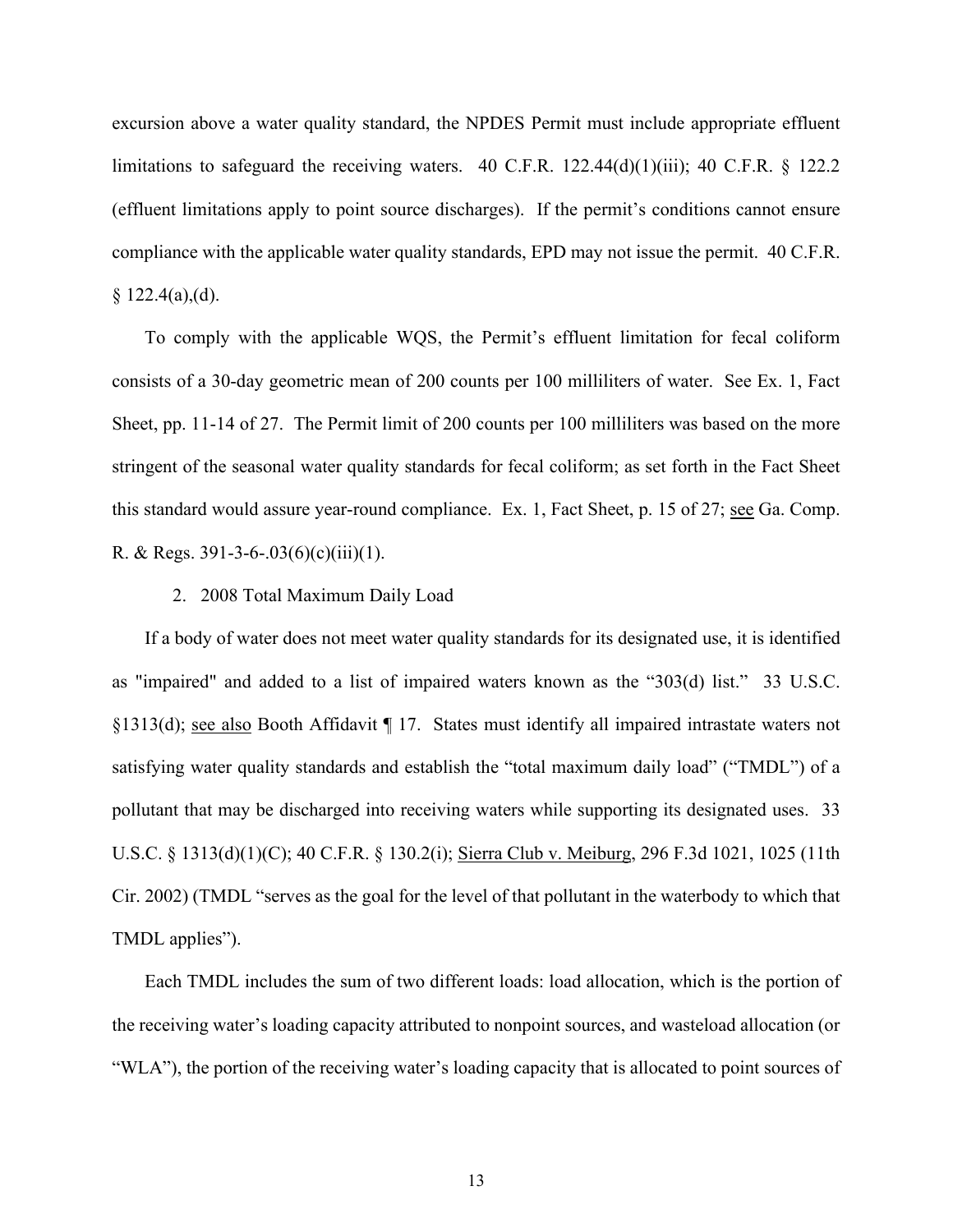excursion above a water quality standard, the NPDES Permit must include appropriate effluent limitations to safeguard the receiving waters. 40 C.F.R.  $122.44(d)(1)(iii)$ ; 40 C.F.R. § 122.2 (effluent limitations apply to point source discharges). If the permit's conditions cannot ensure compliance with the applicable water quality standards, EPD may not issue the permit. 40 C.F.R.  $$122.4(a),(d).$ 

To comply with the applicable WQS, the Permit's effluent limitation for fecal coliform consists of a 30-day geometric mean of 200 counts per 100 milliliters of water. See Ex. 1, Fact Sheet, pp. 11-14 of 27. The Permit limit of 200 counts per 100 milliliters was based on the more stringent of the seasonal water quality standards for fecal coliform; as set forth in the Fact Sheet this standard would assure year-round compliance. Ex. 1, Fact Sheet, p. 15 of 27; see Ga. Comp. R. & Regs.  $391-3-6-.03(6)(c)(iii)(1)$ .

2. 2008 Total Maximum Daily Load

If a body of water does not meet water quality standards for its designated use, it is identified as "impaired" and added to a list of impaired waters known as the "303(d) list." 33 U.S.C. §1313(d); see also Booth Affidavit ¶ 17. States must identify all impaired intrastate waters not satisfying water quality standards and establish the "total maximum daily load" ("TMDL") of a pollutant that may be discharged into receiving waters while supporting its designated uses. 33 U.S.C. § 1313(d)(1)(C); 40 C.F.R. § 130.2(i); Sierra Club v. Meiburg, 296 F.3d 1021, 1025 (11th Cir. 2002) (TMDL "serves as the goal for the level of that pollutant in the waterbody to which that TMDL applies").

Each TMDL includes the sum of two different loads: load allocation, which is the portion of the receiving water's loading capacity attributed to nonpoint sources, and wasteload allocation (or "WLA"), the portion of the receiving water's loading capacity that is allocated to point sources of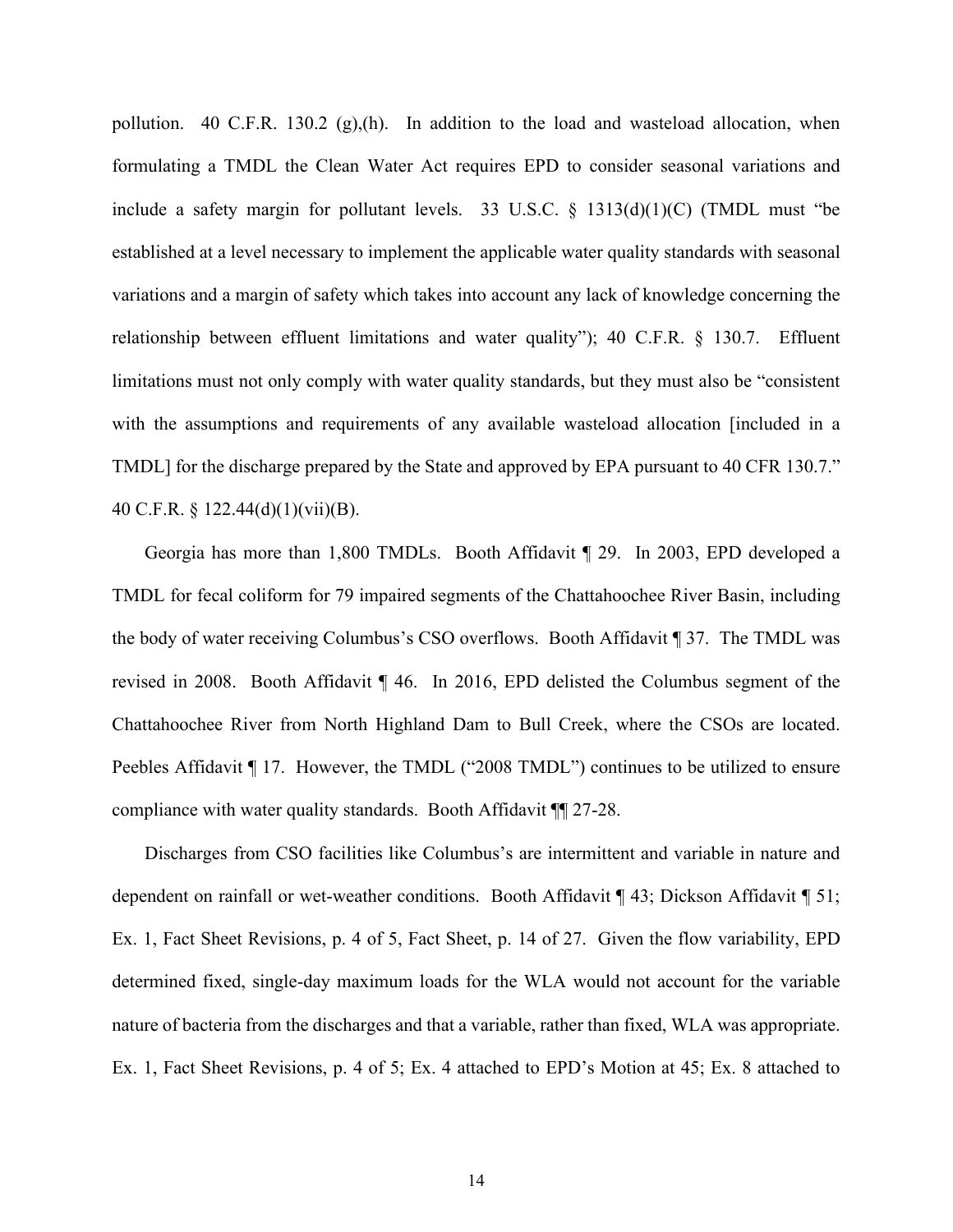pollution. 40 C.F.R. 130.2  $(g)(h)$ . In addition to the load and wasteload allocation, when formulating a TMDL the Clean Water Act requires EPD to consider seasonal variations and include a safety margin for pollutant levels. 33 U.S.C.  $\S$  1313(d)(1)(C) (TMDL must "be established at a level necessary to implement the applicable water quality standards with seasonal variations and a margin of safety which takes into account any lack of knowledge concerning the relationship between effluent limitations and water quality"); 40 C.F.R. § 130.7. Effluent limitations must not only comply with water quality standards, but they must also be "consistent with the assumptions and requirements of any available wasteload allocation [included in a TMDL] for the discharge prepared by the State and approved by EPA pursuant to 40 CFR 130.7." 40 C.F.R. § 122.44(d)(1)(vii)(B).

Georgia has more than 1,800 TMDLs. Booth Affidavit ¶ 29. In 2003, EPD developed a TMDL for fecal coliform for 79 impaired segments of the Chattahoochee River Basin, including the body of water receiving Columbus's CSO overflows. Booth Affidavit ¶ 37. The TMDL was revised in 2008. Booth Affidavit ¶ 46. In 2016, EPD delisted the Columbus segment of the Chattahoochee River from North Highland Dam to Bull Creek, where the CSOs are located. Peebles Affidavit ¶ 17. However, the TMDL ("2008 TMDL") continues to be utilized to ensure compliance with water quality standards. Booth Affidavit ¶¶ 27-28.

Discharges from CSO facilities like Columbus's are intermittent and variable in nature and dependent on rainfall or wet-weather conditions. Booth Affidavit ¶ 43; Dickson Affidavit ¶ 51; Ex. 1, Fact Sheet Revisions, p. 4 of 5, Fact Sheet, p. 14 of 27. Given the flow variability, EPD determined fixed, single-day maximum loads for the WLA would not account for the variable nature of bacteria from the discharges and that a variable, rather than fixed, WLA was appropriate. Ex. 1, Fact Sheet Revisions, p. 4 of 5; Ex. 4 attached to EPD's Motion at 45; Ex. 8 attached to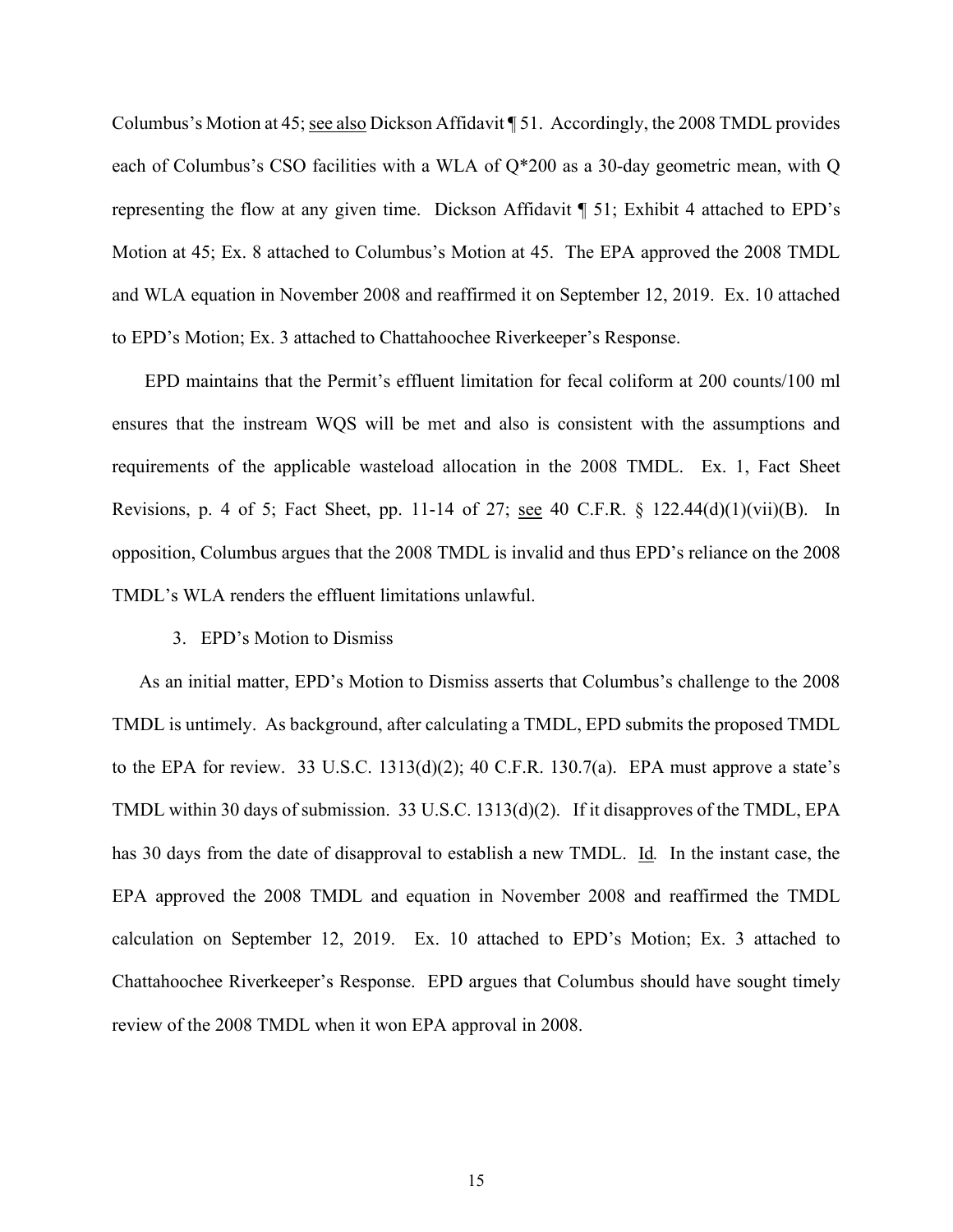Columbus's Motion at 45; see also Dickson Affidavit ¶ 51. Accordingly, the 2008 TMDL provides each of Columbus's CSO facilities with a WLA of Q\*200 as a 30-day geometric mean, with Q representing the flow at any given time. Dickson Affidavit ¶ 51; Exhibit 4 attached to EPD's Motion at 45; Ex. 8 attached to Columbus's Motion at 45. The EPA approved the 2008 TMDL and WLA equation in November 2008 and reaffirmed it on September 12, 2019. Ex. 10 attached to EPD's Motion; Ex. 3 attached to Chattahoochee Riverkeeper's Response.

EPD maintains that the Permit's effluent limitation for fecal coliform at 200 counts/100 ml ensures that the instream WQS will be met and also is consistent with the assumptions and requirements of the applicable wasteload allocation in the 2008 TMDL. Ex. 1, Fact Sheet Revisions, p. 4 of 5; Fact Sheet, pp. 11-14 of 27; see 40 C.F.R. § 122.44(d)(1)(vii)(B). In opposition, Columbus argues that the 2008 TMDL is invalid and thus EPD's reliance on the 2008 TMDL's WLA renders the effluent limitations unlawful.

## 3. EPD's Motion to Dismiss

 As an initial matter, EPD's Motion to Dismiss asserts that Columbus's challenge to the 2008 TMDL is untimely. As background, after calculating a TMDL, EPD submits the proposed TMDL to the EPA for review. 33 U.S.C.  $1313(d)(2)$ ; 40 C.F.R.  $130.7(a)$ . EPA must approve a state's TMDL within 30 days of submission. 33 U.S.C. 1313(d)(2). If it disapproves of the TMDL, EPA has 30 days from the date of disapproval to establish a new TMDL. Id*.* In the instant case, the EPA approved the 2008 TMDL and equation in November 2008 and reaffirmed the TMDL calculation on September 12, 2019. Ex. 10 attached to EPD's Motion; Ex. 3 attached to Chattahoochee Riverkeeper's Response. EPD argues that Columbus should have sought timely review of the 2008 TMDL when it won EPA approval in 2008.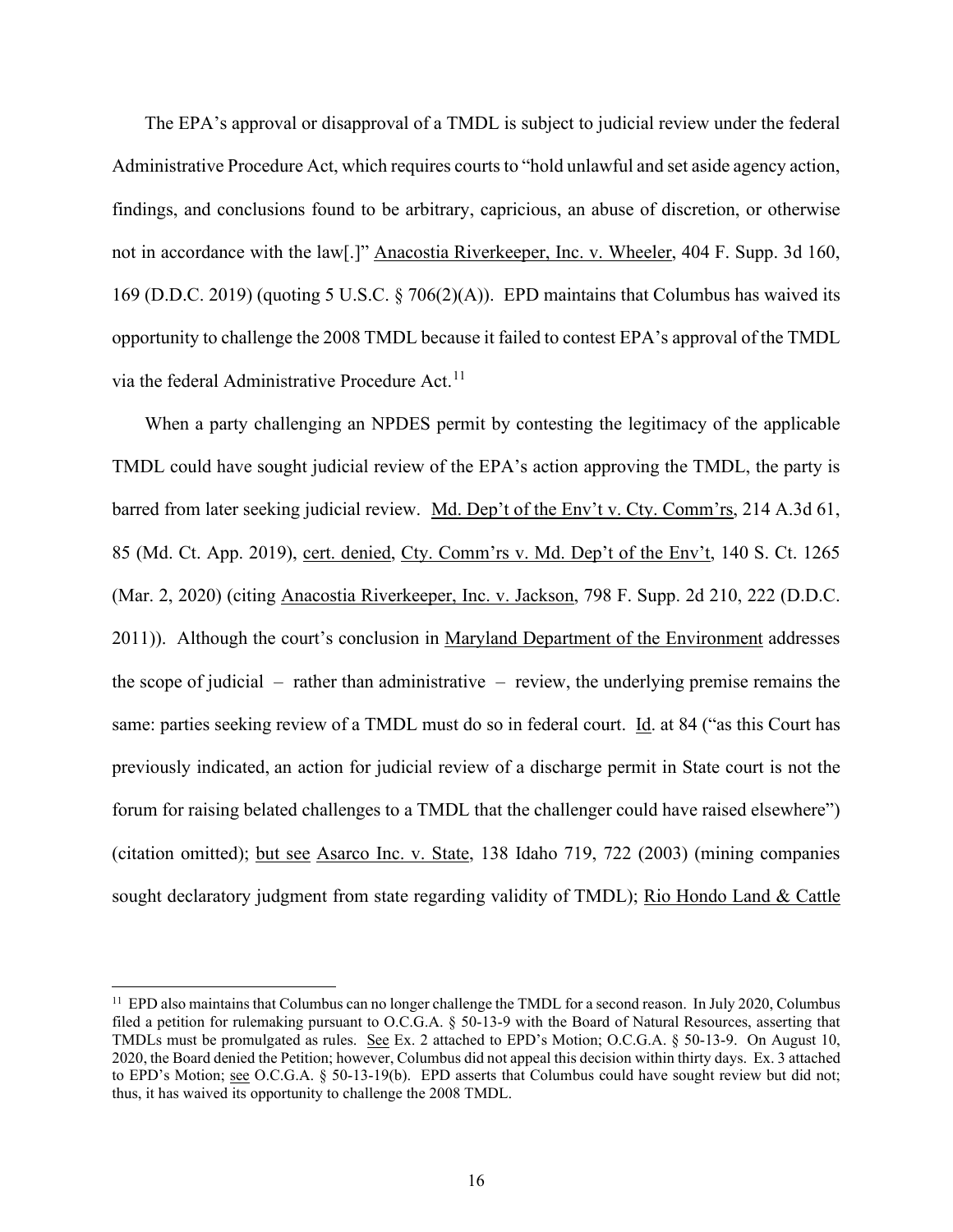The EPA's approval or disapproval of a TMDL is subject to judicial review under the federal Administrative Procedure Act, which requires courts to "hold unlawful and set aside agency action, findings, and conclusions found to be arbitrary, capricious, an abuse of discretion, or otherwise not in accordance with the law[.]" Anacostia Riverkeeper, Inc. v. Wheeler, 404 F. Supp. 3d 160, 169 (D.D.C. 2019) (quoting 5 U.S.C. § 706(2)(A)). EPD maintains that Columbus has waived its opportunity to challenge the 2008 TMDL because it failed to contest EPA's approval of the TMDL via the federal Administrative Procedure Act.<sup>[11](#page-15-0)</sup>

When a party challenging an NPDES permit by contesting the legitimacy of the applicable TMDL could have sought judicial review of the EPA's action approving the TMDL, the party is barred from later seeking judicial review. Md. Dep't of the Env't v. Cty. Comm'rs, 214 A.3d 61, 85 (Md. Ct. App. 2019), cert. denied, Cty. Comm'rs v. Md. Dep't of the Env't, 140 S. Ct. 1265 (Mar. 2, 2020) (citing Anacostia Riverkeeper, Inc. v. Jackson, 798 F. Supp. 2d 210, 222 (D.D.C. 2011)). Although the court's conclusion in Maryland Department of the Environment addresses the scope of judicial  $-$  rather than administrative  $-$  review, the underlying premise remains the same: parties seeking review of a TMDL must do so in federal court. Id. at 84 ("as this Court has previously indicated, an action for judicial review of a discharge permit in State court is not the forum for raising belated challenges to a TMDL that the challenger could have raised elsewhere") (citation omitted); but see Asarco Inc. v. State, 138 Idaho 719, 722 (2003) (mining companies sought declaratory judgment from state regarding validity of TMDL); Rio Hondo Land & Cattle

<span id="page-15-0"></span> $11$  EPD also maintains that Columbus can no longer challenge the TMDL for a second reason. In July 2020, Columbus filed a petition for rulemaking pursuant to O.C.G.A. § 50-13-9 with the Board of Natural Resources, asserting that TMDLs must be promulgated as rules. See Ex. 2 attached to EPD's Motion; O.C.G.A. § 50-13-9. On August 10, 2020, the Board denied the Petition; however, Columbus did not appeal this decision within thirty days. Ex. 3 attached to EPD's Motion; see O.C.G.A. § 50-13-19(b). EPD asserts that Columbus could have sought review but did not; thus, it has waived its opportunity to challenge the 2008 TMDL.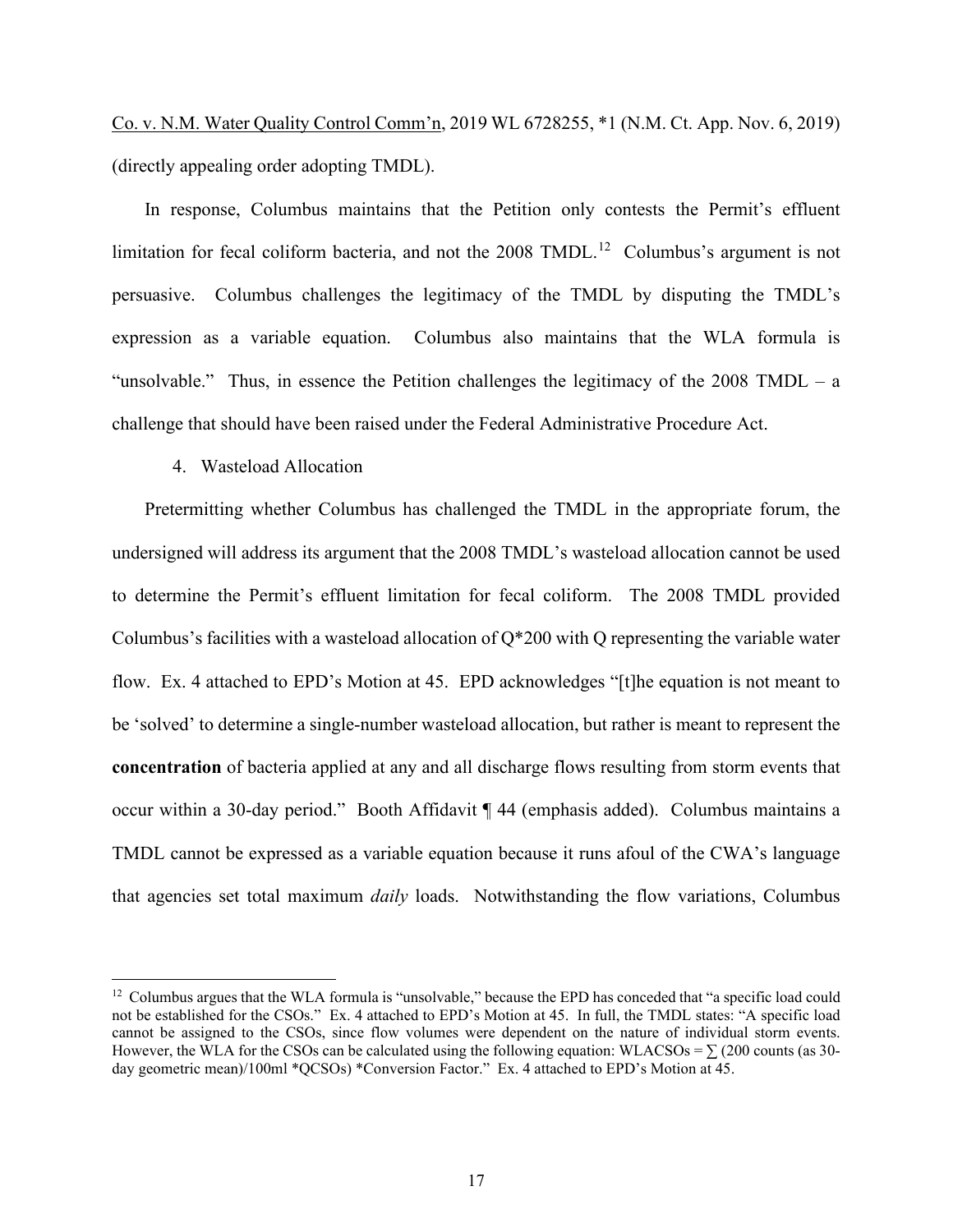Co. v. N.M. Water Quality Control Comm'n, 2019 WL 6728255, \*1 (N.M. Ct. App. Nov. 6, 2019) (directly appealing order adopting TMDL).

In response, Columbus maintains that the Petition only contests the Permit's effluent limitation for fecal coliform bacteria, and not the 2008 TMDL.<sup>12</sup> Columbus's argument is not persuasive. Columbus challenges the legitimacy of the TMDL by disputing the TMDL's expression as a variable equation. Columbus also maintains that the WLA formula is "unsolvable." Thus, in essence the Petition challenges the legitimacy of the 2008 TMDL – a challenge that should have been raised under the Federal Administrative Procedure Act.

### 4. Wasteload Allocation

Pretermitting whether Columbus has challenged the TMDL in the appropriate forum, the undersigned will address its argument that the 2008 TMDL's wasteload allocation cannot be used to determine the Permit's effluent limitation for fecal coliform. The 2008 TMDL provided Columbus's facilities with a wasteload allocation of  $Q^*200$  with Q representing the variable water flow. Ex. 4 attached to EPD's Motion at 45. EPD acknowledges "[t]he equation is not meant to be 'solved' to determine a single-number wasteload allocation, but rather is meant to represent the **concentration** of bacteria applied at any and all discharge flows resulting from storm events that occur within a 30-day period." Booth Affidavit ¶ 44 (emphasis added). Columbus maintains a TMDL cannot be expressed as a variable equation because it runs afoul of the CWA's language that agencies set total maximum *daily* loads. Notwithstanding the flow variations, Columbus

<span id="page-16-0"></span><sup>&</sup>lt;sup>12</sup> Columbus argues that the WLA formula is "unsolvable," because the EPD has conceded that "a specific load could not be established for the CSOs." Ex. 4 attached to EPD's Motion at 45. In full, the TMDL states: "A specific load cannot be assigned to the CSOs, since flow volumes were dependent on the nature of individual storm events. However, the WLA for the CSOs can be calculated using the following equation: WLACSOs =  $\sum$  (200 counts (as 30day geometric mean)/100ml \*QCSOs) \*Conversion Factor." Ex. 4 attached to EPD's Motion at 45.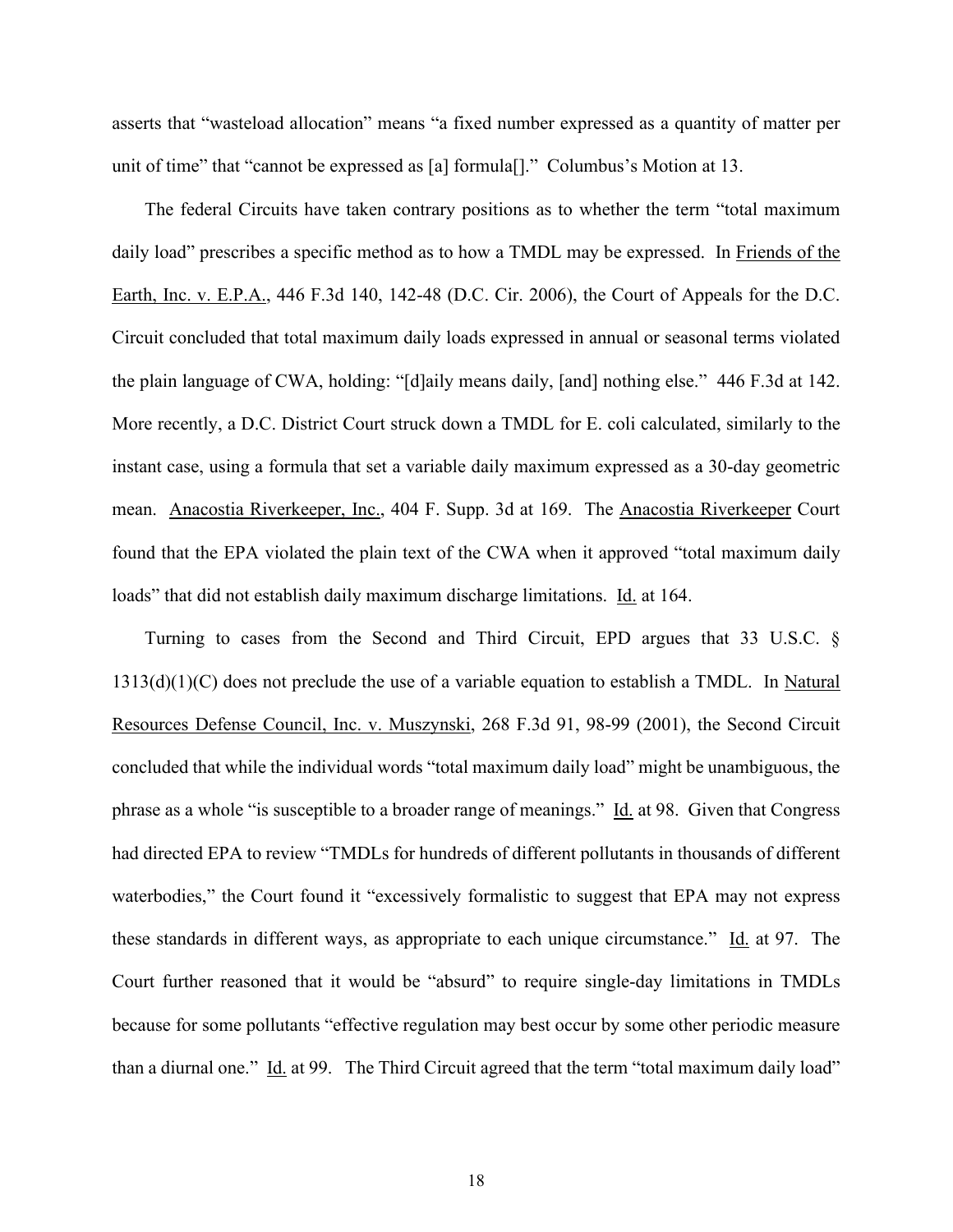asserts that "wasteload allocation" means "a fixed number expressed as a quantity of matter per unit of time" that "cannot be expressed as [a] formula[]." Columbus's Motion at 13.

The federal Circuits have taken contrary positions as to whether the term "total maximum daily load" prescribes a specific method as to how a TMDL may be expressed. In Friends of the Earth, Inc. v. E.P.A., 446 F.3d 140, 142-48 (D.C. Cir. 2006), the Court of Appeals for the D.C. Circuit concluded that total maximum daily loads expressed in annual or seasonal terms violated the plain language of CWA, holding: "[d]aily means daily, [and] nothing else." 446 F.3d at 142. More recently, a D.C. District Court struck down a TMDL for E. coli calculated, similarly to the instant case, using a formula that set a variable daily maximum expressed as a 30-day geometric mean. Anacostia Riverkeeper, Inc., 404 F. Supp. 3d at 169. The Anacostia Riverkeeper Court found that the EPA violated the plain text of the CWA when it approved "total maximum daily loads" that did not establish daily maximum discharge limitations. Id. at 164.

Turning to cases from the Second and Third Circuit, EPD argues that 33 U.S.C. §  $1313(d)(1)(C)$  does not preclude the use of a variable equation to establish a TMDL. In Natural Resources Defense Council, Inc. v. Muszynski, 268 F.3d 91, 98-99 (2001), the Second Circuit concluded that while the individual words "total maximum daily load" might be unambiguous, the phrase as a whole "is susceptible to a broader range of meanings." Id. at 98. Given that Congress had directed EPA to review "TMDLs for hundreds of different pollutants in thousands of different waterbodies," the Court found it "excessively formalistic to suggest that EPA may not express these standards in different ways, as appropriate to each unique circumstance." Id. at 97. The Court further reasoned that it would be "absurd" to require single-day limitations in TMDLs because for some pollutants "effective regulation may best occur by some other periodic measure than a diurnal one." Id. at 99. The Third Circuit agreed that the term "total maximum daily load"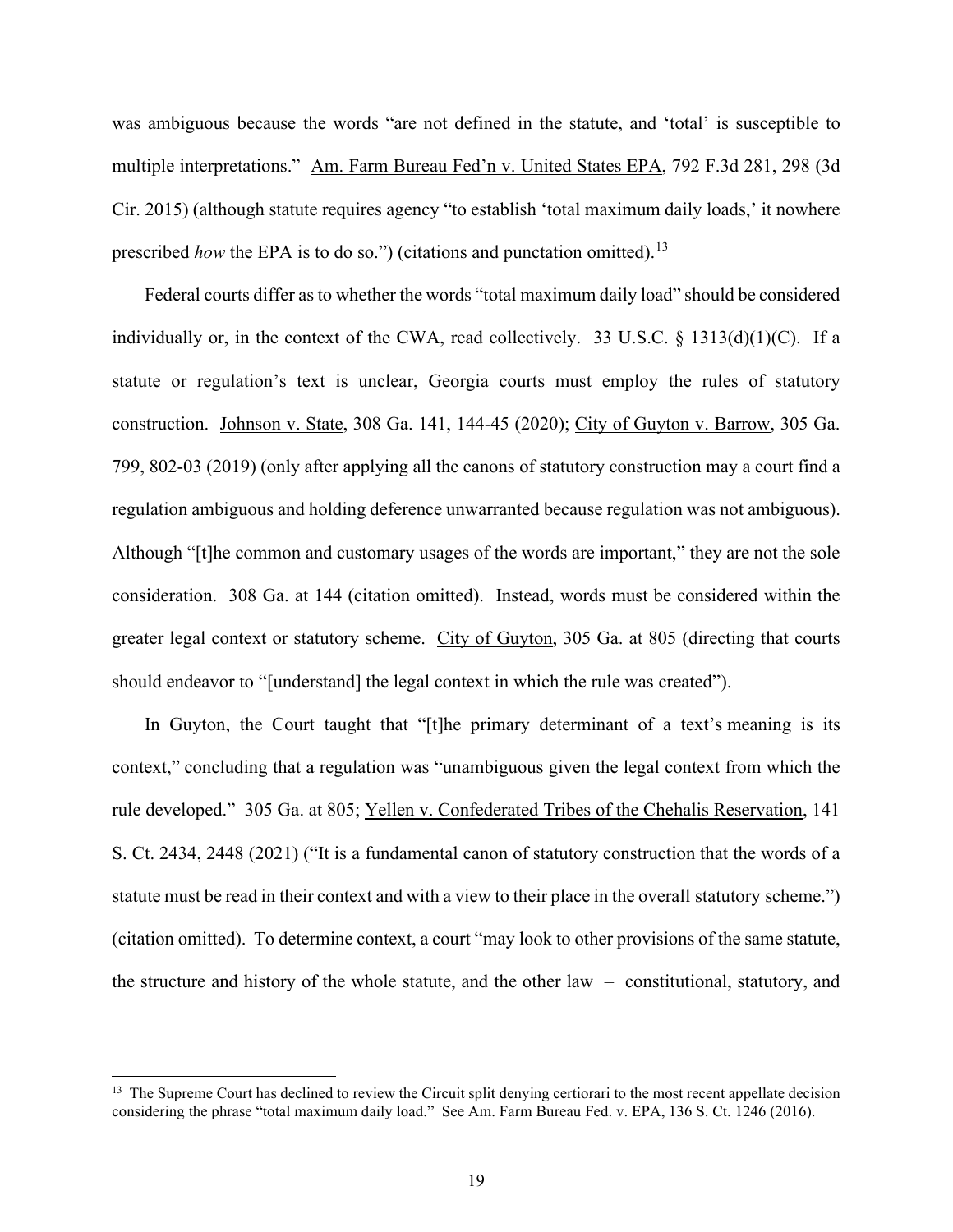was ambiguous because the words "are not defined in the statute, and 'total' is susceptible to multiple interpretations." Am. Farm Bureau Fed'n v. United States EPA, 792 F.3d 281, 298 (3d Cir. 2015) (although statute requires agency "to establish 'total maximum daily loads,' it nowhere prescribed *how* the EPA is to do so.") (citations and punctation omitted).<sup>[13](#page-18-0)</sup>

Federal courts differ as to whether the words "total maximum daily load" should be considered individually or, in the context of the CWA, read collectively. 33 U.S.C.  $\S$  1313(d)(1)(C). If a statute or regulation's text is unclear, Georgia courts must employ the rules of statutory construction. Johnson v. State, 308 Ga. 141, 144-45 (2020); City of Guyton v. Barrow, 305 Ga. 799, 802-03 (2019) (only after applying all the canons of statutory construction may a court find a regulation ambiguous and holding deference unwarranted because regulation was not ambiguous). Although "[t]he common and customary usages of the words are important," they are not the sole consideration. 308 Ga. at 144 (citation omitted). Instead, words must be considered within the greater legal context or statutory scheme. City of Guyton, 305 Ga. at 805 (directing that courts should endeavor to "[understand] the legal context in which the rule was created").

In Guyton, the Court taught that "[t]he primary determinant of a text's meaning is its context," concluding that a regulation was "unambiguous given the legal context from which the rule developed." 305 Ga. at 805; Yellen v. Confederated Tribes of the Chehalis Reservation, 141 S. Ct. 2434, 2448 (2021) ("It is a fundamental canon of statutory construction that the words of a statute must be read in their context and with a view to their place in the overall statutory scheme.") (citation omitted). To determine context, a court "may look to other provisions of the same statute, the structure and history of the whole statute, and the other law – constitutional, statutory, and

<span id="page-18-0"></span><sup>&</sup>lt;sup>13</sup> The Supreme Court has declined to review the Circuit split denying certiorari to the most recent appellate decision considering the phrase "total maximum daily load." See Am. Farm Bureau Fed. v. EPA, 136 S. Ct. 1246 (2016).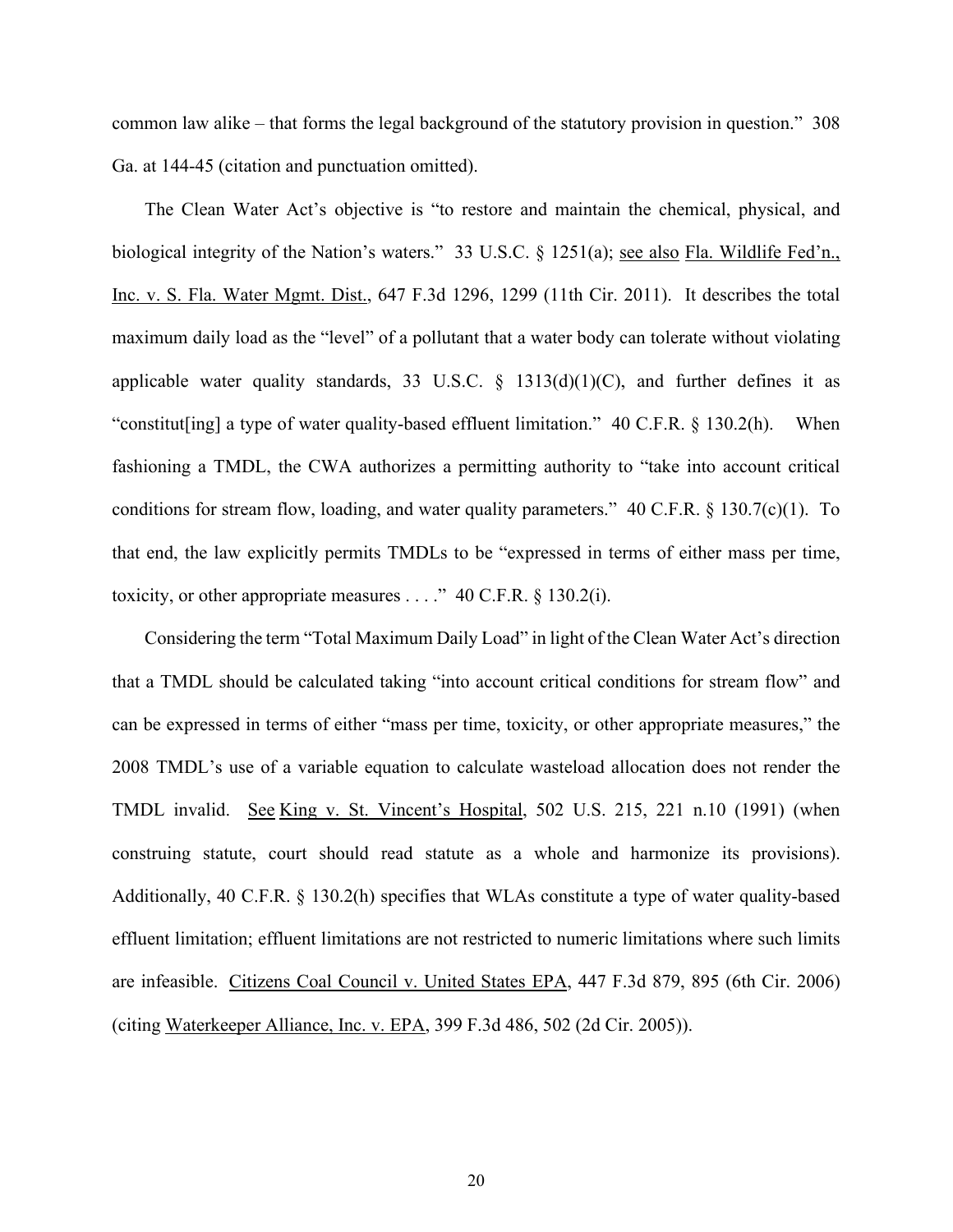common law alike – that forms the legal background of the statutory provision in question." 308 Ga. at 144-45 (citation and punctuation omitted).

The Clean Water Act's objective is "to restore and maintain the chemical, physical, and biological integrity of the Nation's waters." 33 U.S.C. § 1251(a); see also Fla. Wildlife Fed'n., Inc. v. S. Fla. Water Mgmt. Dist., 647 F.3d 1296, 1299 (11th Cir. 2011). It describes the total maximum daily load as the "level" of a pollutant that a water body can tolerate without violating applicable water quality standards, 33 U.S.C.  $\S$  1313(d)(1)(C), and further defines it as "constitut[ing] a type of water quality-based effluent limitation." 40 C.F.R. § 130.2(h). When fashioning a TMDL, the CWA authorizes a permitting authority to "take into account critical conditions for stream flow, loading, and water quality parameters." 40 C.F.R. § 130.7(c)(1). To that end, the law explicitly permits TMDLs to be "expressed in terms of either mass per time, toxicity, or other appropriate measures  $\dots$ ." 40 C.F.R. § 130.2(i).

Considering the term "Total Maximum Daily Load" in light of the Clean Water Act's direction that a TMDL should be calculated taking "into account critical conditions for stream flow" and can be expressed in terms of either "mass per time, toxicity, or other appropriate measures," the 2008 TMDL's use of a variable equation to calculate wasteload allocation does not render the TMDL invalid. See King v. St. Vincent's Hospital, 502 U.S. 215, 221 n.10 (1991) (when construing statute, court should read statute as a whole and harmonize its provisions). Additionally, 40 C.F.R. § 130.2(h) specifies that WLAs constitute a type of water quality-based effluent limitation; effluent limitations are not restricted to numeric limitations where such limits are infeasible. Citizens Coal Council v. United States EPA, 447 F.3d 879, 895 (6th Cir. 2006) (citing Waterkeeper Alliance, Inc. v. EPA, 399 F.3d 486, 502 (2d Cir. 2005)).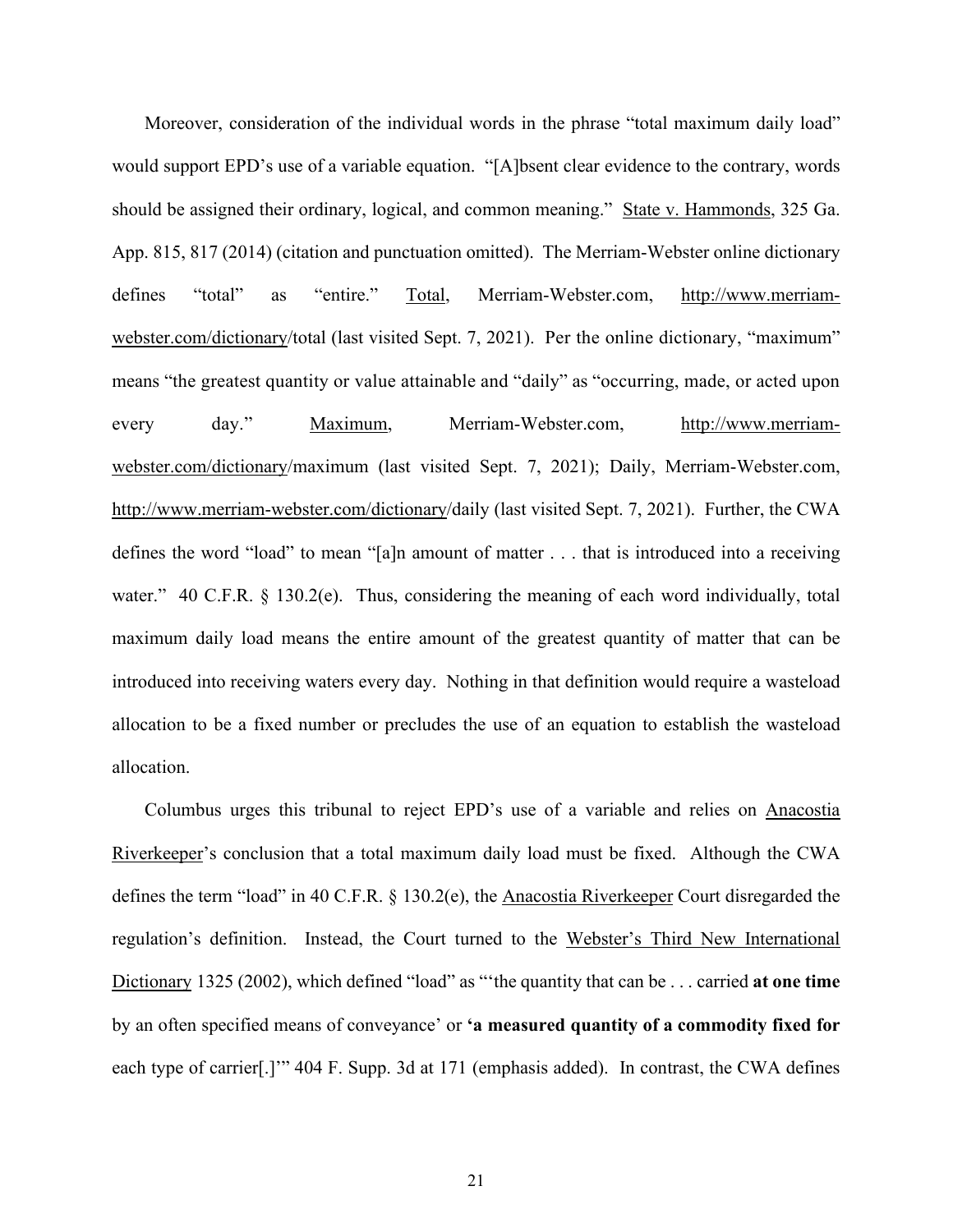Moreover, consideration of the individual words in the phrase "total maximum daily load" would support EPD's use of a variable equation. "[A]bsent clear evidence to the contrary, words should be assigned their ordinary, logical, and common meaning." State v. Hammonds, 325 Ga. App. 815, 817 (2014) (citation and punctuation omitted). The Merriam-Webster online dictionary defines "total" as "entire." Total, Merriam-Webster.com, [http://www.merriam](http://www.merriam-webster.com/dictionary)[webster.com/dictionary/](http://www.merriam-webster.com/dictionary)total (last visited Sept. 7, 2021). Per the online dictionary, "maximum" means "the greatest quantity or value attainable and "daily" as "occurring, made, or acted upon every day." Maximum, Merriam-Webster.com, [http://www.merriam](http://www.merriam-webster.com/dictionary)[webster.com/dictionary/](http://www.merriam-webster.com/dictionary)maximum (last visited Sept. 7, 2021); Daily, Merriam-Webster.com, [http://www.merriam-webster.com/dictionary/](http://www.merriam-webster.com/dictionary)daily (last visited Sept. 7, 2021). Further, the CWA defines the word "load" to mean "[a]n amount of matter . . . that is introduced into a receiving water." 40 C.F.R. § 130.2(e). Thus, considering the meaning of each word individually, total maximum daily load means the entire amount of the greatest quantity of matter that can be introduced into receiving waters every day. Nothing in that definition would require a wasteload allocation to be a fixed number or precludes the use of an equation to establish the wasteload allocation.

Columbus urges this tribunal to reject EPD's use of a variable and relies on Anacostia Riverkeeper's conclusion that a total maximum daily load must be fixed. Although the CWA defines the term "load" in 40 C.F.R. § 130.2(e), the Anacostia Riverkeeper Court disregarded the regulation's definition. Instead, the Court turned to the Webster's Third New International Dictionary 1325 (2002), which defined "load" as "'the quantity that can be . . . carried **at one time** by an often specified means of conveyance' or **'a measured quantity of a commodity fixed for** each type of carrier[.]'" 404 F. Supp. 3d at 171 (emphasis added). In contrast, the CWA defines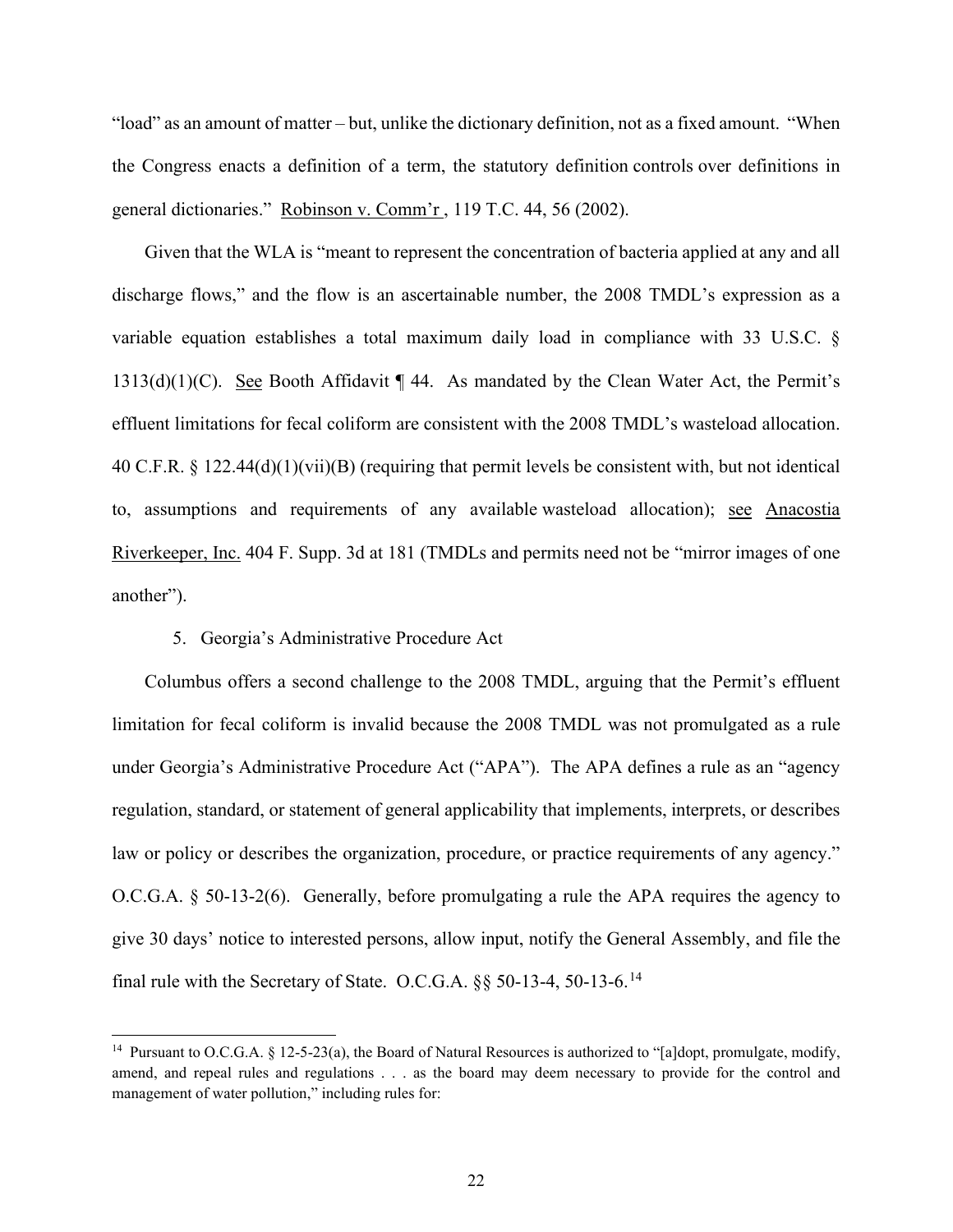"load" as an amount of matter – but, unlike the dictionary definition, not as a fixed amount. "When the Congress enacts a definition of a term, the statutory definition controls over definitions in general dictionaries." Robinson v. Comm'r , 119 T.C. 44, 56 (2002).

Given that the WLA is "meant to represent the concentration of bacteria applied at any and all discharge flows," and the flow is an ascertainable number, the 2008 TMDL's expression as a variable equation establishes a total maximum daily load in compliance with 33 U.S.C. §  $1313(d)(1)(C)$ . See Booth Affidavit  $\P$  44. As mandated by the Clean Water Act, the Permit's effluent limitations for fecal coliform are consistent with the 2008 TMDL's wasteload allocation. 40 C.F.R. § 122.44(d)(1)(vii)(B) (requiring that permit levels be consistent with, but not identical to, assumptions and requirements of any available wasteload allocation); see Anacostia Riverkeeper, Inc. 404 F. Supp. 3d at 181 (TMDLs and permits need not be "mirror images of one another").

## 5. Georgia's Administrative Procedure Act

Columbus offers a second challenge to the 2008 TMDL, arguing that the Permit's effluent limitation for fecal coliform is invalid because the 2008 TMDL was not promulgated as a rule under Georgia's Administrative Procedure Act ("APA"). The APA defines a rule as an "agency regulation, standard, or statement of general applicability that implements, interprets, or describes law or policy or describes the organization, procedure, or practice requirements of any agency." O.C.G.A. § 50-13-2(6). Generally, before promulgating a rule the APA requires the agency to give 30 days' notice to interested persons, allow input, notify the General Assembly, and file the final rule with the Secretary of State. O.C.G.A. §§ 50-13-4, 50-13-6.[14](#page-21-0)

<span id="page-21-0"></span><sup>&</sup>lt;sup>14</sup> Pursuant to O.C.G.A. § 12-5-23(a), the Board of Natural Resources is authorized to "[a]dopt, promulgate, modify, amend, and repeal rules and regulations . . . as the board may deem necessary to provide for the control and management of water pollution," including rules for: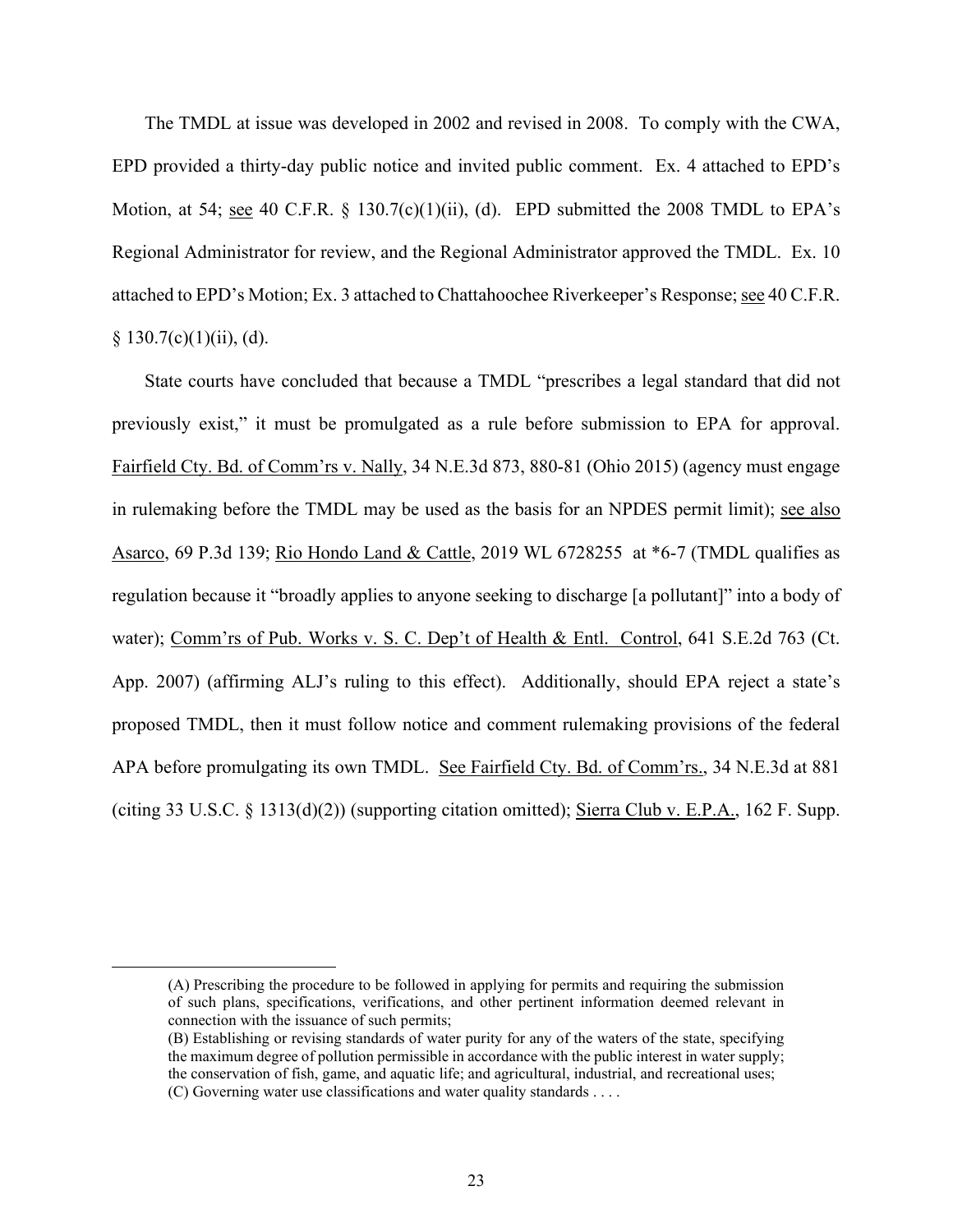The TMDL at issue was developed in 2002 and revised in 2008. To comply with the CWA, EPD provided a thirty-day public notice and invited public comment. Ex. 4 attached to EPD's Motion, at 54; see 40 C.F.R. § 130.7(c)(1)(ii), (d). EPD submitted the 2008 TMDL to EPA's Regional Administrator for review, and the Regional Administrator approved the TMDL. Ex. 10 attached to EPD's Motion; Ex. 3 attached to Chattahoochee Riverkeeper's Response;see 40 C.F.R.  $§ 130.7(c)(1)(ii)$ , (d).

State courts have concluded that because a TMDL "prescribes a legal standard that did not previously exist," it must be promulgated as a rule before submission to EPA for approval. Fairfield Cty. Bd. of Comm'rs v. Nally, 34 N.E.3d 873, 880-81 (Ohio 2015) (agency must engage in rulemaking before the TMDL may be used as the basis for an NPDES permit limit); <u>see also</u> Asarco, 69 P.3d 139; Rio Hondo Land & Cattle, 2019 WL 6728255 at \*6-7 (TMDL qualifies as regulation because it "broadly applies to anyone seeking to discharge [a pollutant]" into a body of water); Comm'rs of Pub. Works v. S. C. Dep't of Health & Entl. Control, 641 S.E.2d 763 (Ct. App. 2007) (affirming ALJ's ruling to this effect). Additionally, should EPA reject a state's proposed TMDL, then it must follow notice and comment rulemaking provisions of the federal APA before promulgating its own TMDL. See Fairfield Cty. Bd. of Comm'rs., 34 N.E.3d at 881 (citing 33 U.S.C. § 1313(d)(2)) (supporting citation omitted); Sierra Club v. E.P.A., 162 F. Supp.

<sup>(</sup>A) Prescribing the procedure to be followed in applying for permits and requiring the submission of such plans, specifications, verifications, and other pertinent information deemed relevant in connection with the issuance of such permits;

<sup>(</sup>B) Establishing or revising standards of water purity for any of the waters of the state, specifying the maximum degree of pollution permissible in accordance with the public interest in water supply; the conservation of fish, game, and aquatic life; and agricultural, industrial, and recreational uses; (C) Governing water use classifications and water quality standards . . . .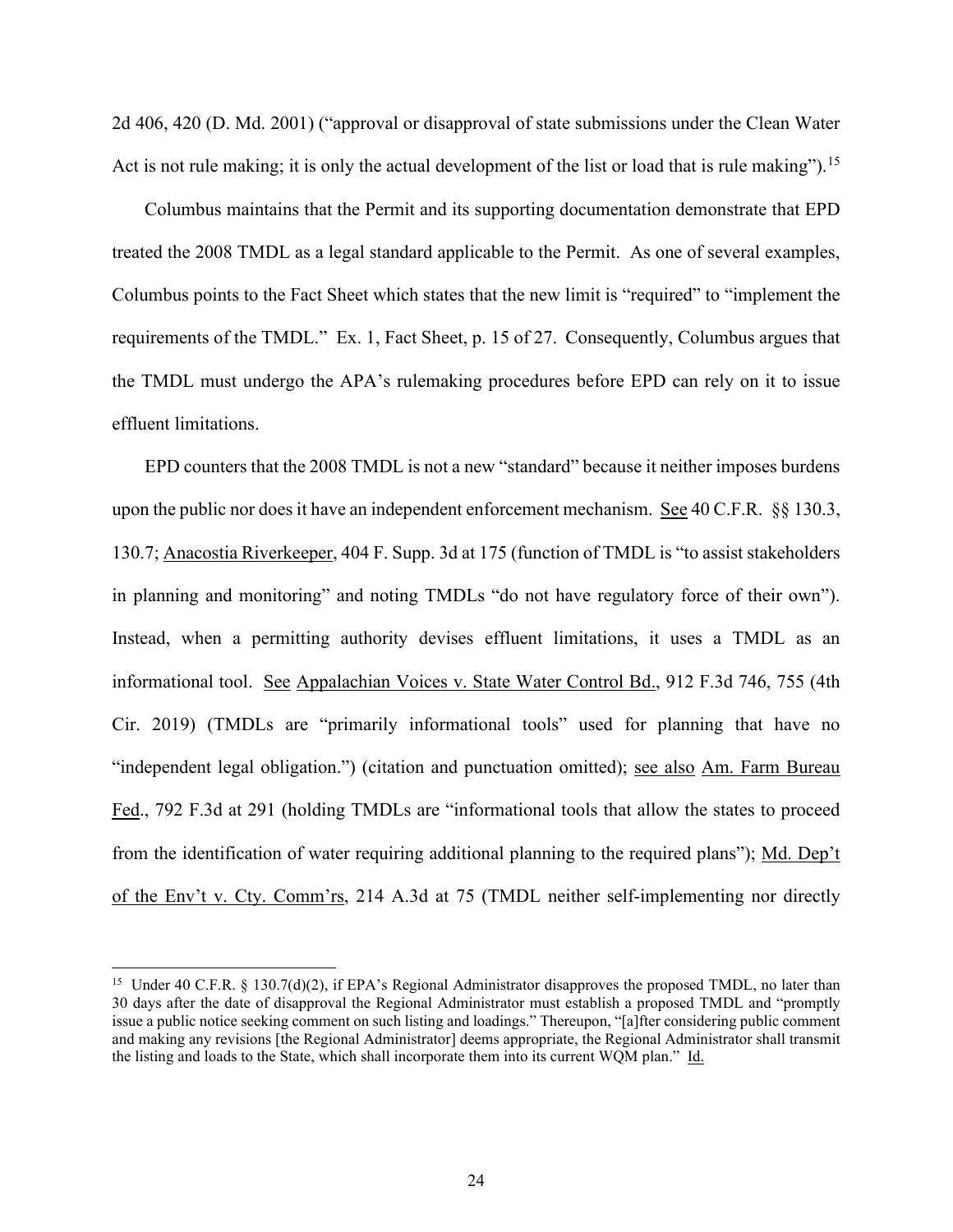2d 406, 420 (D. Md. 2001) ("approval or disapproval of state submissions under the Clean Water Act is not rule making; it is only the actual development of the list or load that is rule making").<sup>[15](#page-23-0)</sup>

Columbus maintains that the Permit and its supporting documentation demonstrate that EPD treated the 2008 TMDL as a legal standard applicable to the Permit. As one of several examples, Columbus points to the Fact Sheet which states that the new limit is "required" to "implement the requirements of the TMDL." Ex. 1, Fact Sheet, p. 15 of 27. Consequently, Columbus argues that the TMDL must undergo the APA's rulemaking procedures before EPD can rely on it to issue effluent limitations.

EPD counters that the 2008 TMDL is not a new "standard" because it neither imposes burdens upon the public nor does it have an independent enforcement mechanism. See 40 C.F.R. §§ 130.3, 130.7; Anacostia Riverkeeper, 404 F. Supp. 3d at 175 (function of TMDL is "to assist stakeholders in planning and monitoring" and noting TMDLs "do not have regulatory force of their own"). Instead, when a permitting authority devises effluent limitations, it uses a TMDL as an informational tool. See Appalachian Voices v. State Water Control Bd., 912 F.3d 746, 755 (4th Cir. 2019) (TMDLs are "primarily informational tools" used for planning that have no "independent legal obligation.") (citation and punctuation omitted); see also Am. Farm Bureau Fed., 792 F.3d at 291 (holding TMDLs are "informational tools that allow the states to proceed from the identification of water requiring additional planning to the required plans"); Md. Dep't of the Env't v. Cty. Comm'rs, 214 A.3d at 75 (TMDL neither self-implementing nor directly

<span id="page-23-0"></span><sup>&</sup>lt;sup>15</sup> Under 40 C.F.R. § 130.7(d)(2), if EPA's Regional Administrator disapproves the proposed TMDL, no later than 30 days after the date of disapproval the Regional Administrator must establish a proposed TMDL and "promptly issue a public notice seeking comment on such listing and loadings." Thereupon, "[a]fter considering public comment and making any revisions [the Regional Administrator] deems appropriate, the Regional Administrator shall transmit the listing and loads to the State, which shall incorporate them into its current WQM plan." Id.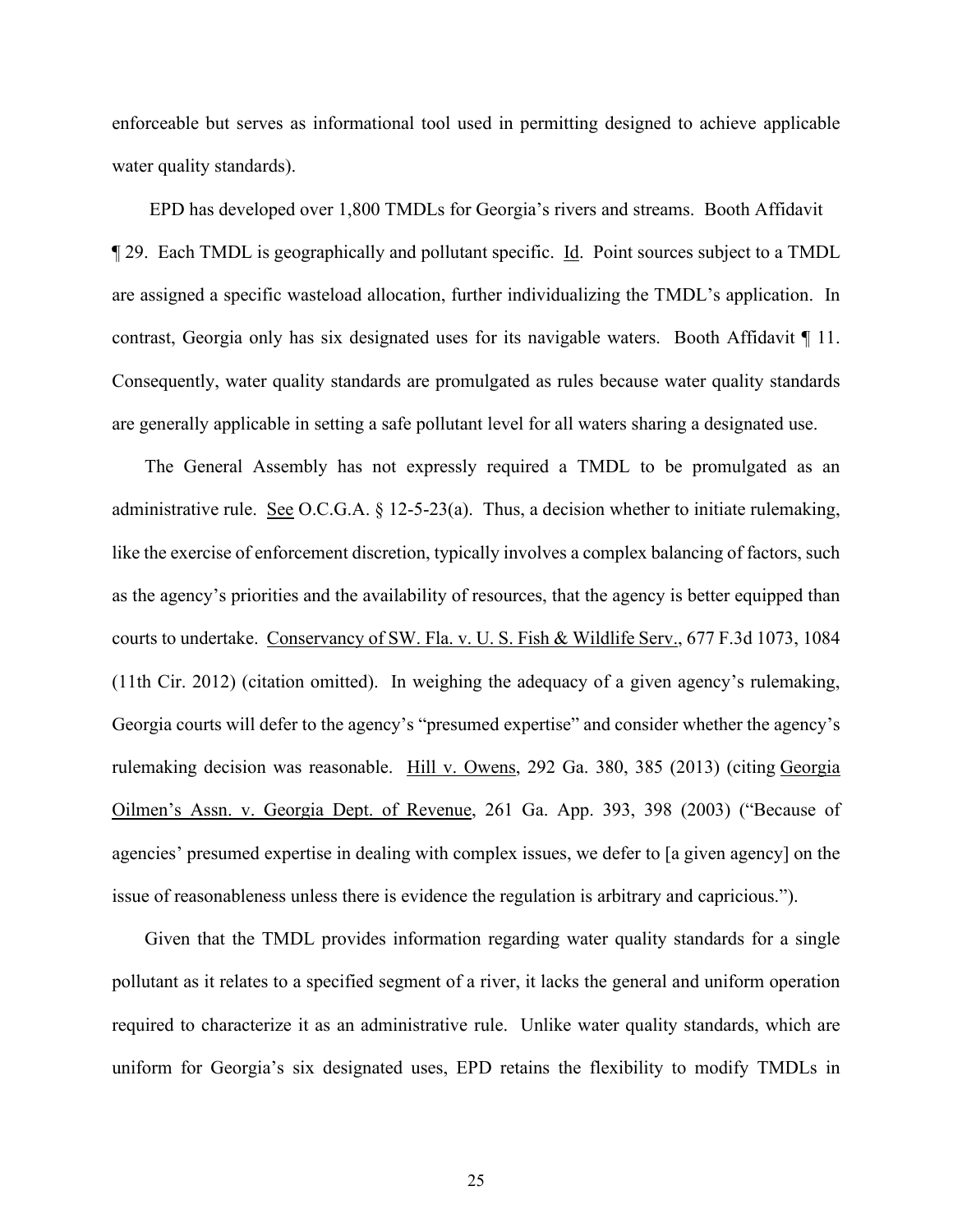enforceable but serves as informational tool used in permitting designed to achieve applicable water quality standards).

EPD has developed over 1,800 TMDLs for Georgia's rivers and streams. Booth Affidavit ¶ 29. Each TMDL is geographically and pollutant specific. Id. Point sources subject to a TMDL are assigned a specific wasteload allocation, further individualizing the TMDL's application. In contrast, Georgia only has six designated uses for its navigable waters. Booth Affidavit ¶ 11. Consequently, water quality standards are promulgated as rules because water quality standards are generally applicable in setting a safe pollutant level for all waters sharing a designated use.

The General Assembly has not expressly required a TMDL to be promulgated as an administrative rule. See O.C.G.A.  $\S$  12-5-23(a). Thus, a decision whether to initiate rulemaking, like the exercise of enforcement discretion, typically involves a complex balancing of factors, such as the agency's priorities and the availability of resources, that the agency is better equipped than courts to undertake. Conservancy of SW. Fla. v. U. S. Fish & Wildlife Serv., 677 F.3d 1073, 1084 (11th Cir. 2012) (citation omitted). In weighing the adequacy of a given agency's rulemaking, Georgia courts will defer to the agency's "presumed expertise" and consider whether the agency's rulemaking decision was reasonable. Hill v. Owens, 292 Ga. 380, 385 (2013) (citing Georgia Oilmen's Assn. v. Georgia Dept. of Revenue, 261 Ga. App. 393, 398 (2003) ("Because of agencies' presumed expertise in dealing with complex issues, we defer to [a given agency] on the issue of reasonableness unless there is evidence the regulation is arbitrary and capricious.").

Given that the TMDL provides information regarding water quality standards for a single pollutant as it relates to a specified segment of a river, it lacks the general and uniform operation required to characterize it as an administrative rule. Unlike water quality standards, which are uniform for Georgia's six designated uses, EPD retains the flexibility to modify TMDLs in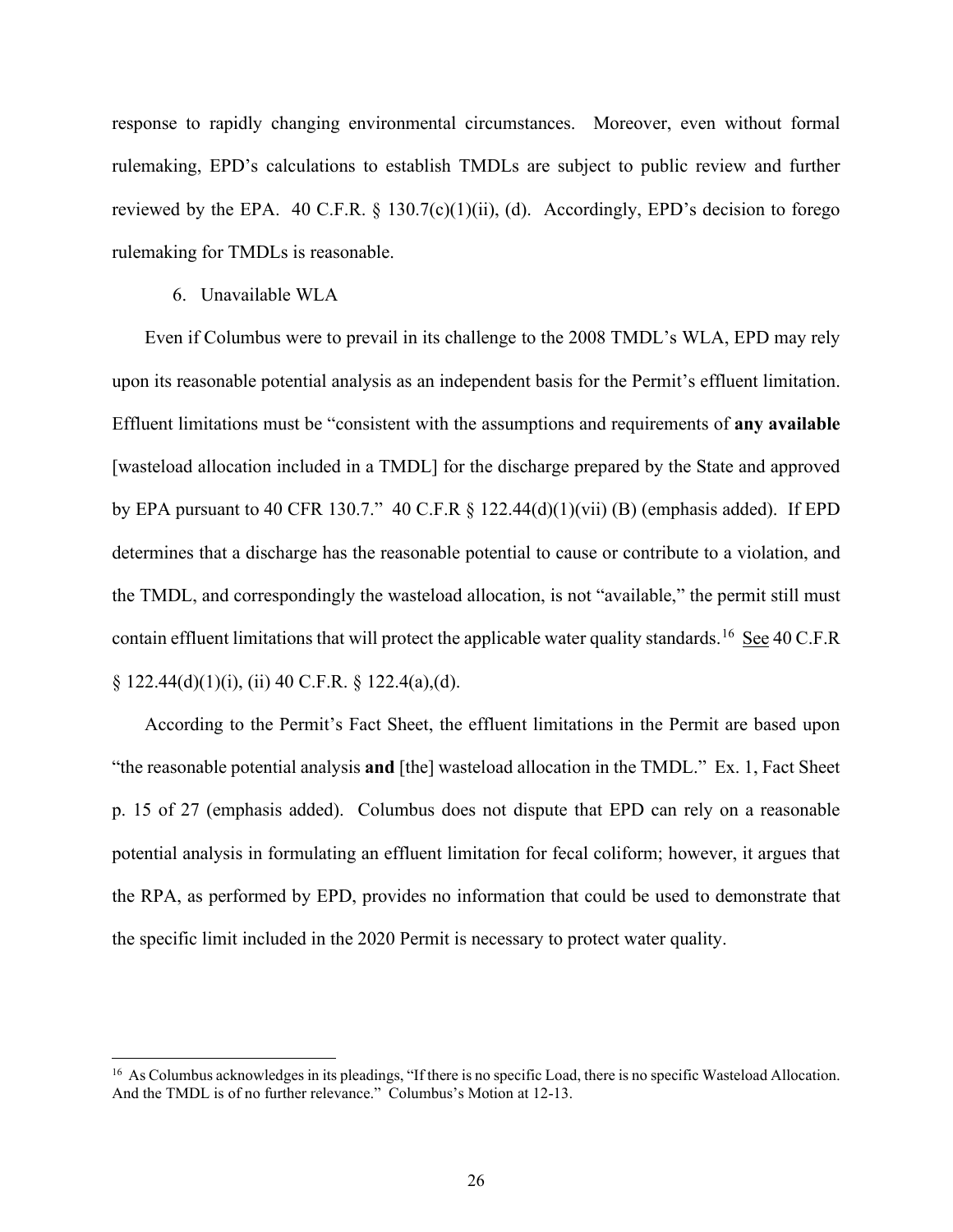response to rapidly changing environmental circumstances. Moreover, even without formal rulemaking, EPD's calculations to establish TMDLs are subject to public review and further reviewed by the EPA. 40 C.F.R.  $\S$  130.7(c)(1)(ii), (d). Accordingly, EPD's decision to forego rulemaking for TMDLs is reasonable.

#### 6. Unavailable WLA

Even if Columbus were to prevail in its challenge to the 2008 TMDL's WLA, EPD may rely upon its reasonable potential analysis as an independent basis for the Permit's effluent limitation. Effluent limitations must be "consistent with the assumptions and requirements of **any available** [wasteload allocation included in a TMDL] for the discharge prepared by the State and approved by EPA pursuant to 40 CFR 130.7." 40 C.F.R  $\S$  122.44(d)(1)(vii) (B) (emphasis added). If EPD determines that a discharge has the reasonable potential to cause or contribute to a violation, and the TMDL, and correspondingly the wasteload allocation, is not "available," the permit still must contain effluent limitations that will protect the applicable water quality standards. <sup>[16](#page-25-0)</sup> See 40 C.F.R  $\S$  122.44(d)(1)(i), (ii) 40 C.F.R.  $\S$  122.4(a),(d).

According to the Permit's Fact Sheet, the effluent limitations in the Permit are based upon "the reasonable potential analysis **and** [the] wasteload allocation in the TMDL." Ex. 1, Fact Sheet p. 15 of 27 (emphasis added). Columbus does not dispute that EPD can rely on a reasonable potential analysis in formulating an effluent limitation for fecal coliform; however, it argues that the RPA, as performed by EPD, provides no information that could be used to demonstrate that the specific limit included in the 2020 Permit is necessary to protect water quality.

<span id="page-25-0"></span><sup>&</sup>lt;sup>16</sup> As Columbus acknowledges in its pleadings, "If there is no specific Load, there is no specific Wasteload Allocation. And the TMDL is of no further relevance." Columbus's Motion at 12-13.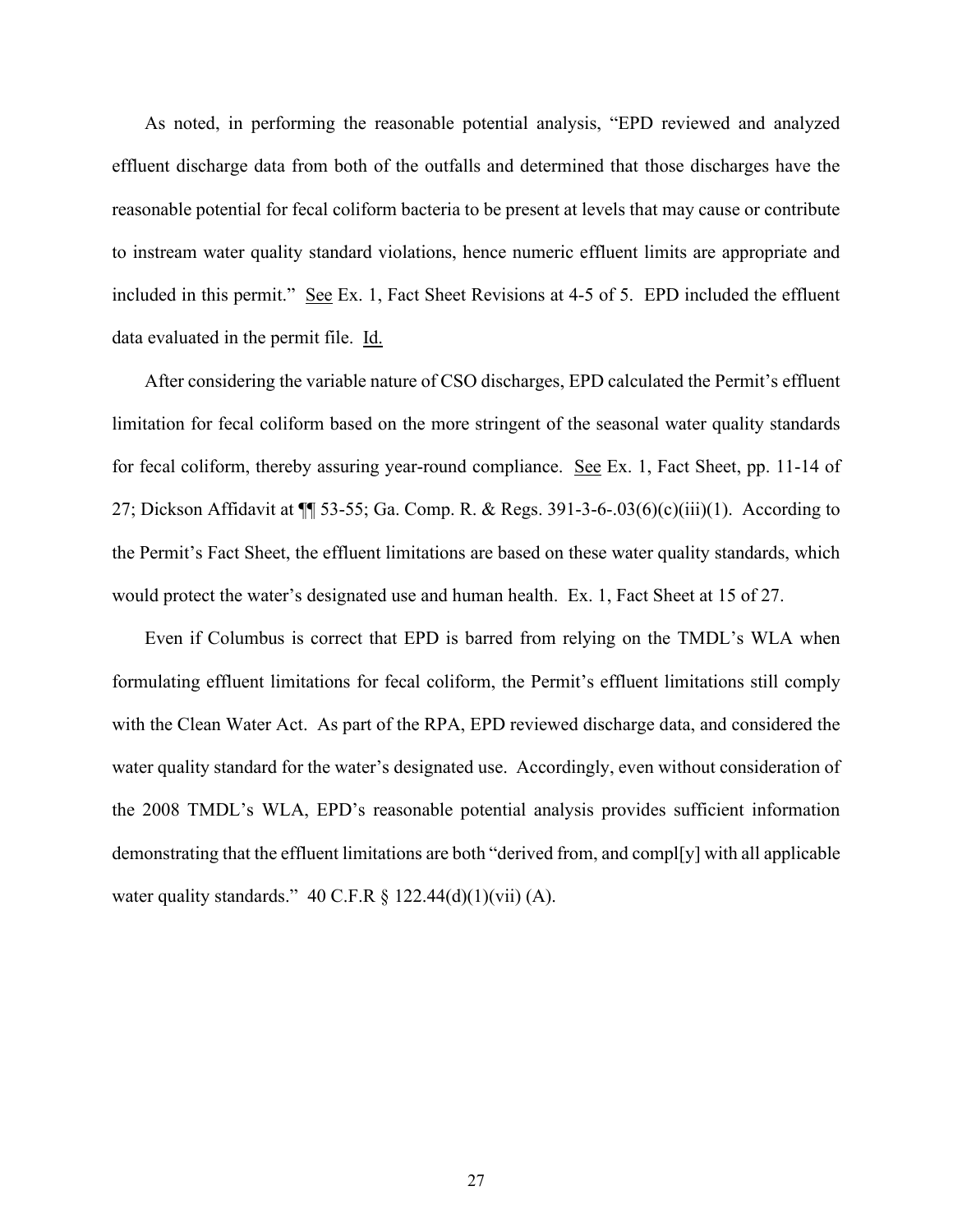As noted, in performing the reasonable potential analysis, "EPD reviewed and analyzed effluent discharge data from both of the outfalls and determined that those discharges have the reasonable potential for fecal coliform bacteria to be present at levels that may cause or contribute to instream water quality standard violations, hence numeric effluent limits are appropriate and included in this permit." See Ex. 1, Fact Sheet Revisions at 4-5 of 5. EPD included the effluent data evaluated in the permit file. Id.

After considering the variable nature of CSO discharges, EPD calculated the Permit's effluent limitation for fecal coliform based on the more stringent of the seasonal water quality standards for fecal coliform, thereby assuring year-round compliance. See Ex. 1, Fact Sheet, pp. 11-14 of 27; Dickson Affidavit at ¶¶ 53-55; Ga. Comp. R. & Regs. 391-3-6-.03(6)(c)(iii)(1). According to the Permit's Fact Sheet, the effluent limitations are based on these water quality standards, which would protect the water's designated use and human health. Ex. 1, Fact Sheet at 15 of 27.

Even if Columbus is correct that EPD is barred from relying on the TMDL's WLA when formulating effluent limitations for fecal coliform, the Permit's effluent limitations still comply with the Clean Water Act. As part of the RPA, EPD reviewed discharge data, and considered the water quality standard for the water's designated use. Accordingly, even without consideration of the 2008 TMDL's WLA, EPD's reasonable potential analysis provides sufficient information demonstrating that the effluent limitations are both "derived from, and compl[y] with all applicable water quality standards." 40 C.F.R § 122.44(d)(1)(vii) (A).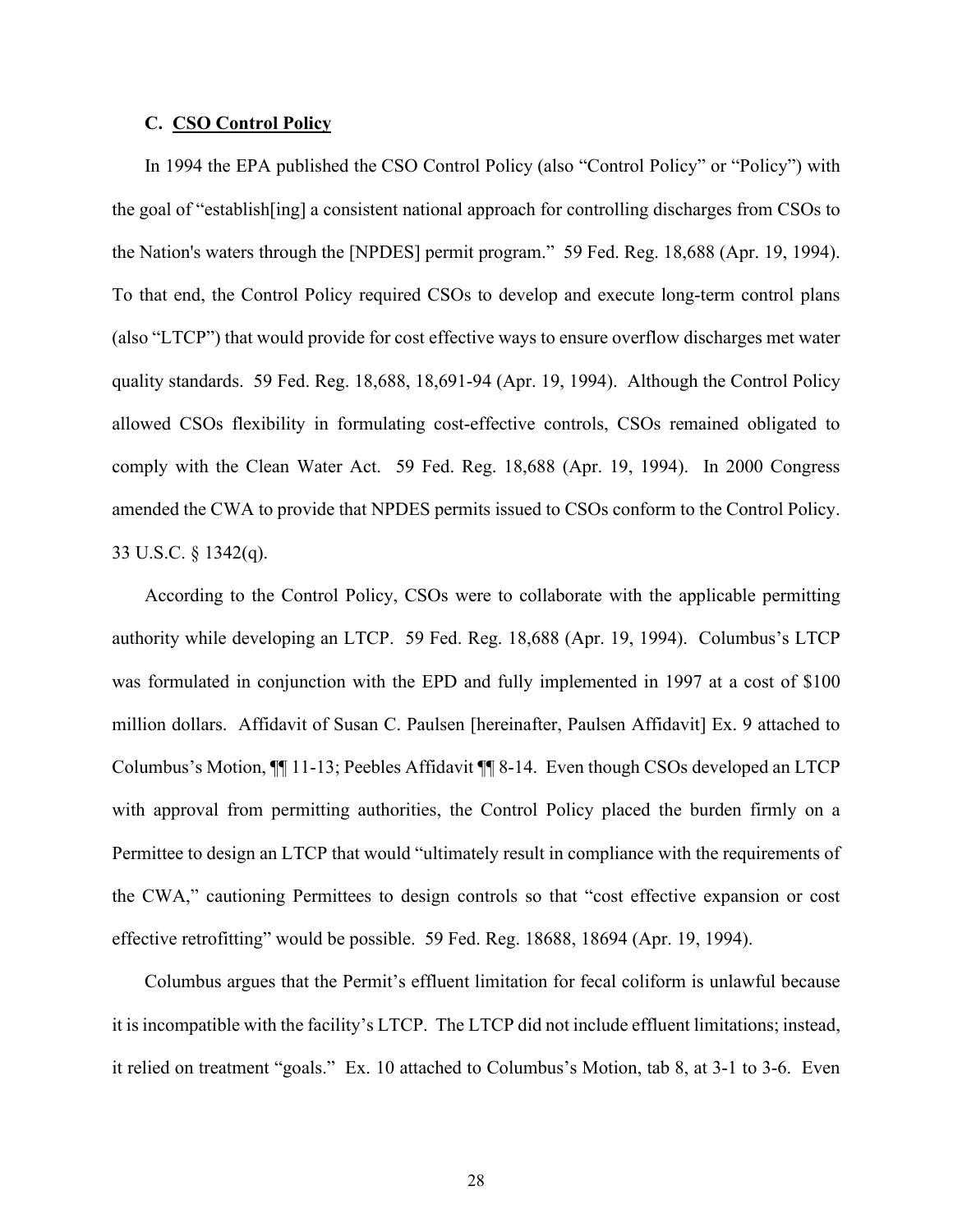#### **C. CSO Control Policy**

In 1994 the EPA published the CSO Control Policy (also "Control Policy" or "Policy") with the goal of "establish[ing] a consistent national approach for controlling discharges from CSOs to the Nation's waters through the [NPDES] permit program." 59 Fed. Reg. 18,688 (Apr. 19, 1994). To that end, the Control Policy required CSOs to develop and execute long-term control plans (also "LTCP") that would provide for cost effective ways to ensure overflow discharges met water quality standards. 59 Fed. Reg. 18,688, 18,691-94 (Apr. 19, 1994). Although the Control Policy allowed CSOs flexibility in formulating cost-effective controls, CSOs remained obligated to comply with the Clean Water Act. 59 Fed. Reg. 18,688 (Apr. 19, 1994). In 2000 Congress amended the CWA to provide that NPDES permits issued to CSOs conform to the Control Policy. 33 U.S.C. § 1342(q).

According to the Control Policy, CSOs were to collaborate with the applicable permitting authority while developing an LTCP. 59 Fed. Reg. 18,688 (Apr. 19, 1994). Columbus's LTCP was formulated in conjunction with the EPD and fully implemented in 1997 at a cost of \$100 million dollars. Affidavit of Susan C. Paulsen [hereinafter, Paulsen Affidavit] Ex. 9 attached to Columbus's Motion, ¶¶ 11-13; Peebles Affidavit ¶¶ 8-14. Even though CSOs developed an LTCP with approval from permitting authorities, the Control Policy placed the burden firmly on a Permittee to design an LTCP that would "ultimately result in compliance with the requirements of the CWA," cautioning Permittees to design controls so that "cost effective expansion or cost effective retrofitting" would be possible. 59 Fed. Reg. 18688, 18694 (Apr. 19, 1994).

Columbus argues that the Permit's effluent limitation for fecal coliform is unlawful because it is incompatible with the facility's LTCP. The LTCP did not include effluent limitations; instead, it relied on treatment "goals." Ex. 10 attached to Columbus's Motion, tab 8, at 3-1 to 3-6. Even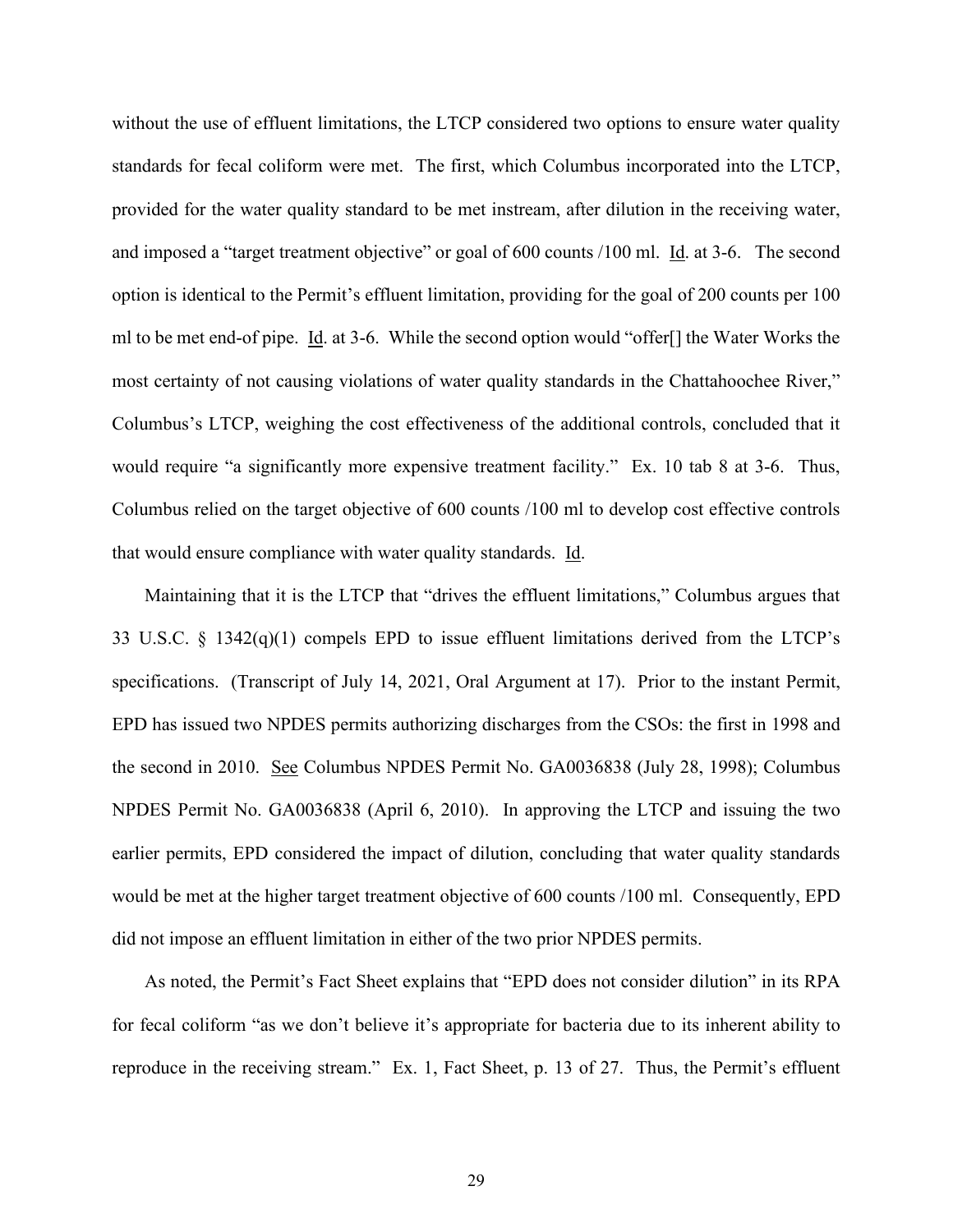without the use of effluent limitations, the LTCP considered two options to ensure water quality standards for fecal coliform were met. The first, which Columbus incorporated into the LTCP, provided for the water quality standard to be met instream, after dilution in the receiving water, and imposed a "target treatment objective" or goal of 600 counts /100 ml. Id. at 3-6. The second option is identical to the Permit's effluent limitation, providing for the goal of 200 counts per 100 ml to be met end-of pipe. Id. at 3-6. While the second option would "offer[] the Water Works the most certainty of not causing violations of water quality standards in the Chattahoochee River," Columbus's LTCP, weighing the cost effectiveness of the additional controls, concluded that it would require "a significantly more expensive treatment facility." Ex. 10 tab 8 at 3-6. Thus, Columbus relied on the target objective of 600 counts /100 ml to develop cost effective controls that would ensure compliance with water quality standards. Id.

Maintaining that it is the LTCP that "drives the effluent limitations," Columbus argues that 33 U.S.C. § 1342(q)(1) compels EPD to issue effluent limitations derived from the LTCP's specifications. (Transcript of July 14, 2021, Oral Argument at 17). Prior to the instant Permit, EPD has issued two NPDES permits authorizing discharges from the CSOs: the first in 1998 and the second in 2010. See Columbus NPDES Permit No. GA0036838 (July 28, 1998); Columbus NPDES Permit No. GA0036838 (April 6, 2010). In approving the LTCP and issuing the two earlier permits, EPD considered the impact of dilution, concluding that water quality standards would be met at the higher target treatment objective of 600 counts /100 ml. Consequently, EPD did not impose an effluent limitation in either of the two prior NPDES permits.

As noted, the Permit's Fact Sheet explains that "EPD does not consider dilution" in its RPA for fecal coliform "as we don't believe it's appropriate for bacteria due to its inherent ability to reproduce in the receiving stream." Ex. 1, Fact Sheet, p. 13 of 27. Thus, the Permit's effluent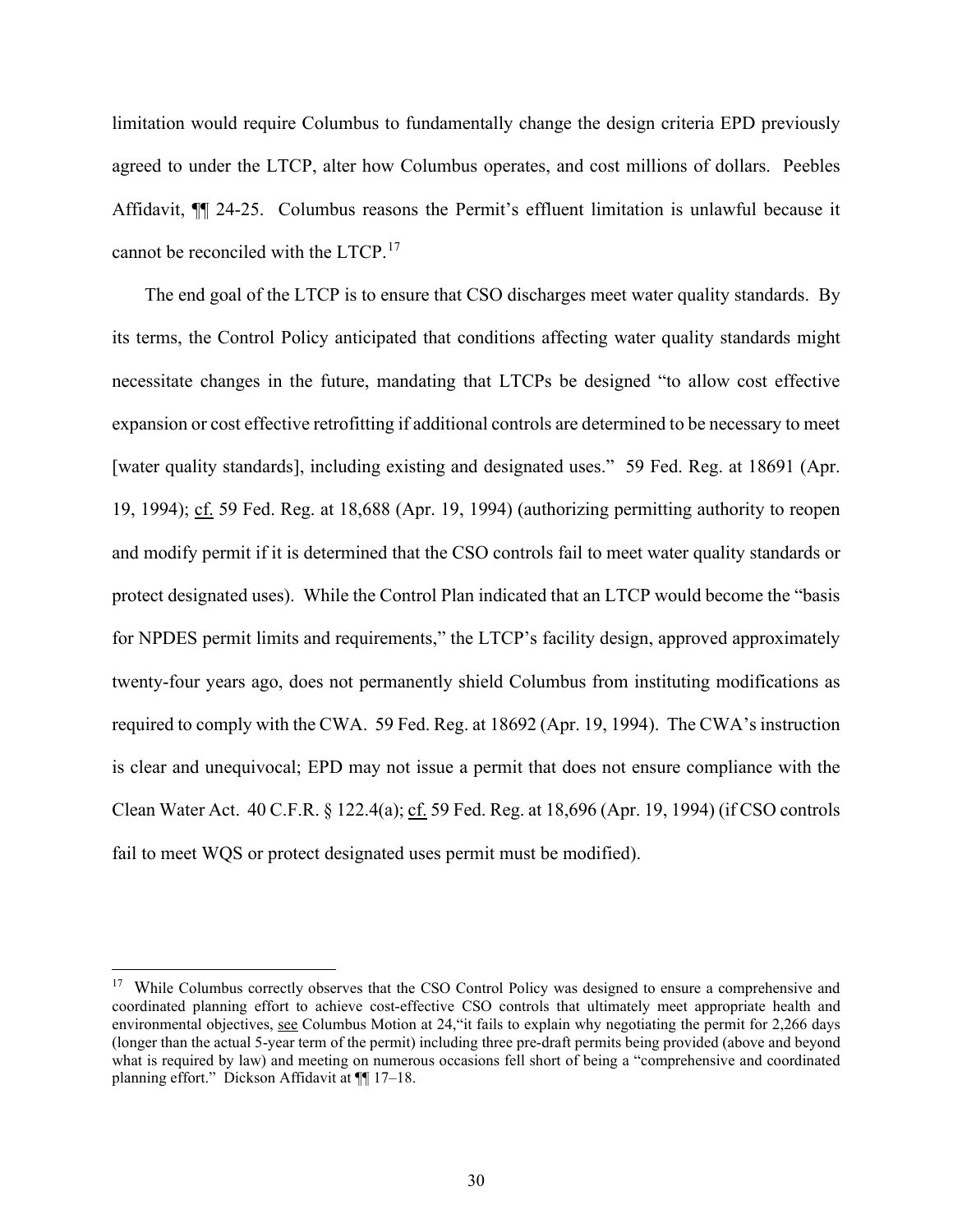limitation would require Columbus to fundamentally change the design criteria EPD previously agreed to under the LTCP, alter how Columbus operates, and cost millions of dollars. Peebles Affidavit, ¶¶ 24-25. Columbus reasons the Permit's effluent limitation is unlawful because it cannot be reconciled with the LTCP.<sup>[17](#page-29-0)</sup>

The end goal of the LTCP is to ensure that CSO discharges meet water quality standards. By its terms, the Control Policy anticipated that conditions affecting water quality standards might necessitate changes in the future, mandating that LTCPs be designed "to allow cost effective expansion or cost effective retrofitting if additional controls are determined to be necessary to meet [water quality standards], including existing and designated uses." 59 Fed. Reg. at 18691 (Apr. 19, 1994);  $c\bar{f}$ . 59 Fed. Reg. at 18,688 (Apr. 19, 1994) (authorizing permitting authority to reopen and modify permit if it is determined that the CSO controls fail to meet water quality standards or protect designated uses). While the Control Plan indicated that an LTCP would become the "basis for NPDES permit limits and requirements," the LTCP's facility design, approved approximately twenty-four years ago, does not permanently shield Columbus from instituting modifications as required to comply with the CWA. 59 Fed. Reg. at 18692 (Apr. 19, 1994). The CWA's instruction is clear and unequivocal; EPD may not issue a permit that does not ensure compliance with the Clean Water Act. 40 C.F.R. § 122.4(a); cf. 59 Fed. Reg. at 18,696 (Apr. 19, 1994) (if CSO controls fail to meet WQS or protect designated uses permit must be modified).

<span id="page-29-0"></span><sup>&</sup>lt;sup>17</sup> While Columbus correctly observes that the CSO Control Policy was designed to ensure a comprehensive and coordinated planning effort to achieve cost-effective CSO controls that ultimately meet appropriate health and environmental objectives, see Columbus Motion at 24, "it fails to explain why negotiating the permit for 2,266 days (longer than the actual 5-year term of the permit) including three pre-draft permits being provided (above and beyond what is required by law) and meeting on numerous occasions fell short of being a "comprehensive and coordinated planning effort." Dickson Affidavit at ¶¶ 17–18.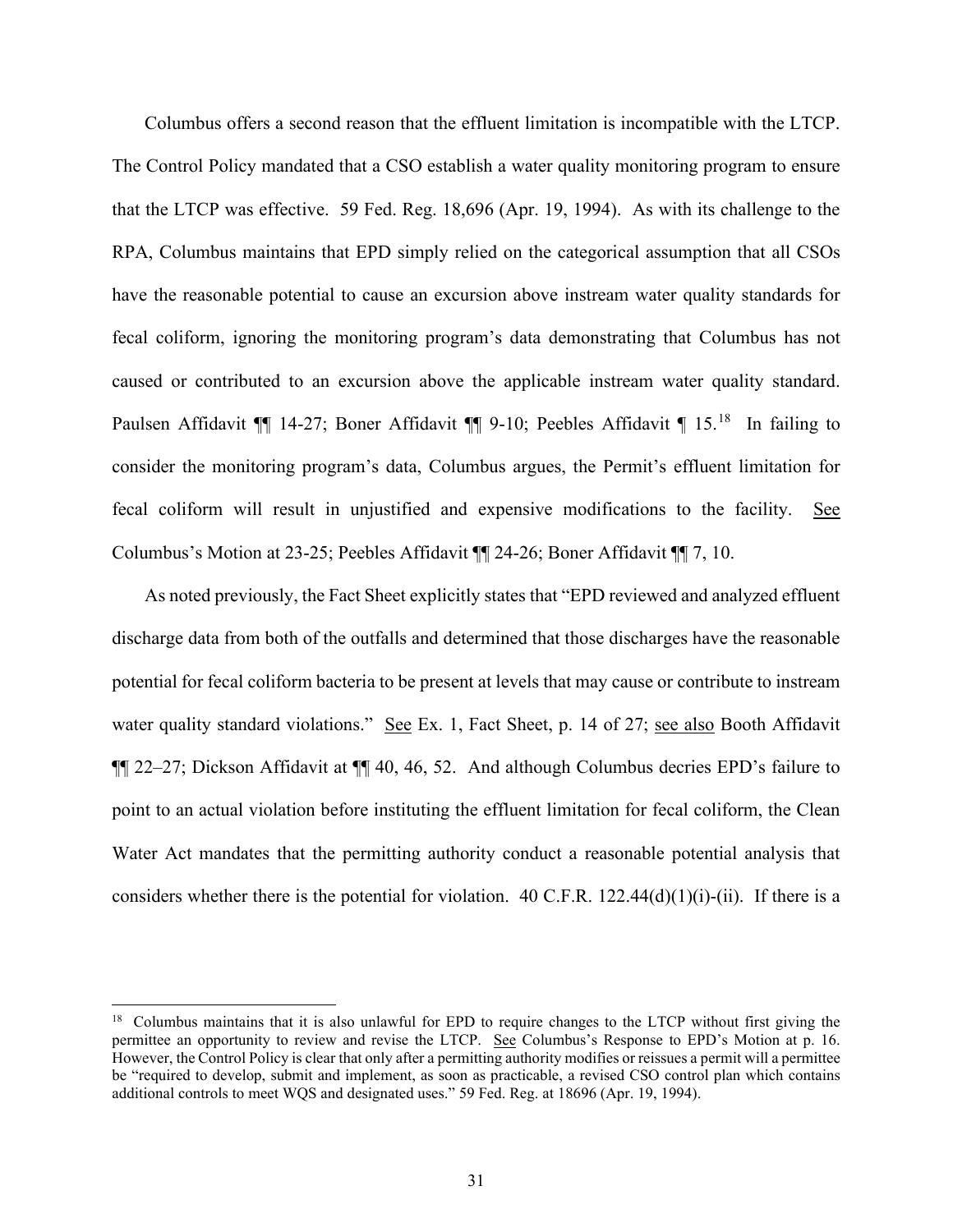Columbus offers a second reason that the effluent limitation is incompatible with the LTCP. The Control Policy mandated that a CSO establish a water quality monitoring program to ensure that the LTCP was effective. 59 Fed. Reg. 18,696 (Apr. 19, 1994). As with its challenge to the RPA, Columbus maintains that EPD simply relied on the categorical assumption that all CSOs have the reasonable potential to cause an excursion above instream water quality standards for fecal coliform, ignoring the monitoring program's data demonstrating that Columbus has not caused or contributed to an excursion above the applicable instream water quality standard. Paulsen Affidavit  $\P$  14-27; Boner Affidavit  $\P$  9-10; Peebles Affidavit  $\P$  15.<sup>18</sup> In failing to consider the monitoring program's data, Columbus argues, the Permit's effluent limitation for fecal coliform will result in unjustified and expensive modifications to the facility. See Columbus's Motion at 23-25; Peebles Affidavit ¶¶ 24-26; Boner Affidavit ¶¶ 7, 10.

As noted previously, the Fact Sheet explicitly states that "EPD reviewed and analyzed effluent discharge data from both of the outfalls and determined that those discharges have the reasonable potential for fecal coliform bacteria to be present at levels that may cause or contribute to instream water quality standard violations." See Ex. 1, Fact Sheet, p. 14 of 27; see also Booth Affidavit ¶¶ 22–27; Dickson Affidavit at ¶¶ 40, 46, 52. And although Columbus decries EPD's failure to point to an actual violation before instituting the effluent limitation for fecal coliform, the Clean Water Act mandates that the permitting authority conduct a reasonable potential analysis that considers whether there is the potential for violation. 40 C.F.R. 122.44(d)(1)(i)-(ii). If there is a

<span id="page-30-0"></span><sup>&</sup>lt;sup>18</sup> Columbus maintains that it is also unlawful for EPD to require changes to the LTCP without first giving the permittee an opportunity to review and revise the LTCP. See Columbus's Response to EPD's Motion at p. 16. However, the Control Policy is clear that only after a permitting authority modifies or reissues a permit will a permittee be "required to develop, submit and implement, as soon as practicable, a revised CSO control plan which contains additional controls to meet WQS and designated uses." 59 Fed. Reg. at 18696 (Apr. 19, 1994).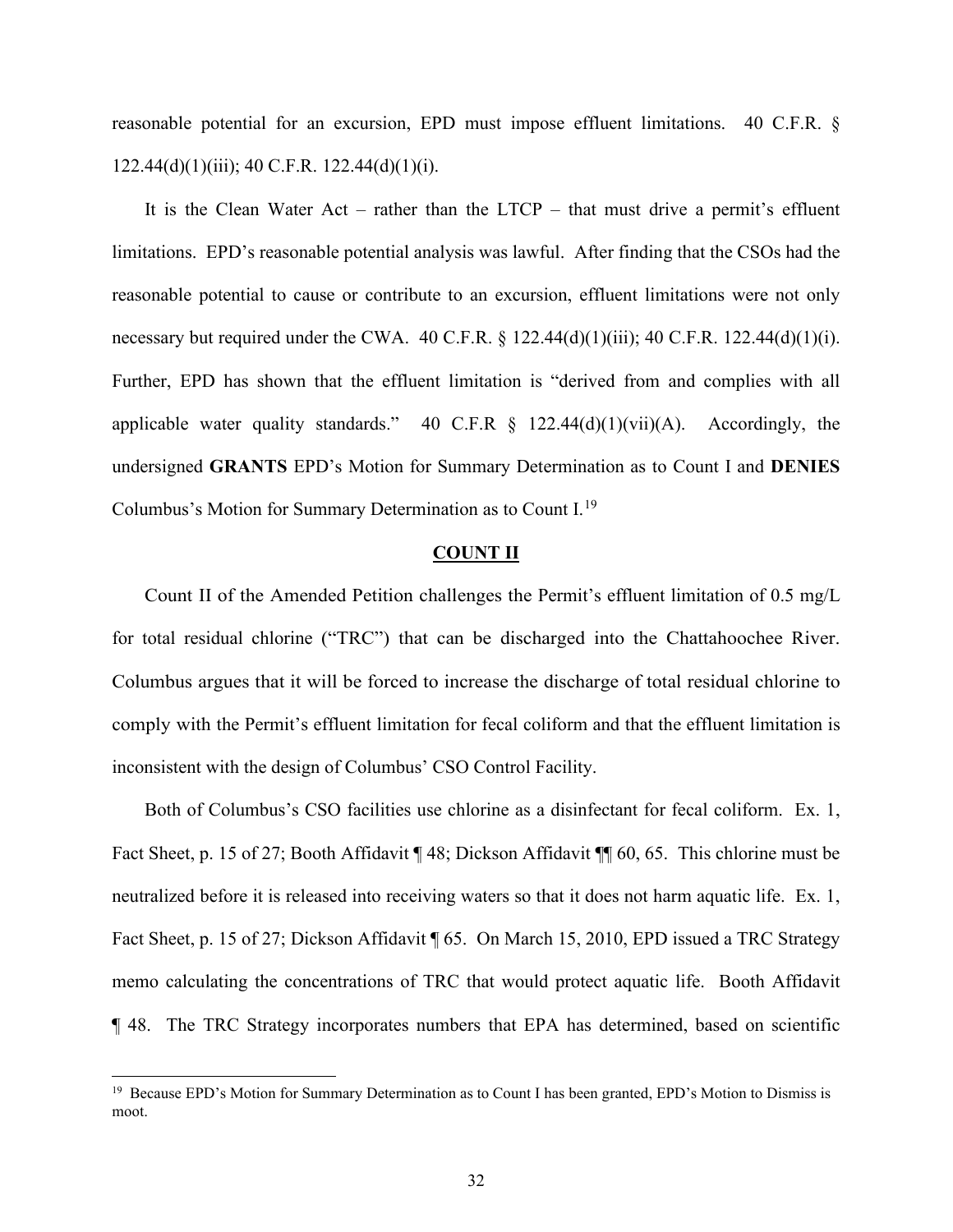reasonable potential for an excursion, EPD must impose effluent limitations. 40 C.F.R. §  $122.44(d)(1)(iii)$ ; 40 C.F.R.  $122.44(d)(1)(i)$ .

It is the Clean Water Act – rather than the LTCP – that must drive a permit's effluent limitations. EPD's reasonable potential analysis was lawful. After finding that the CSOs had the reasonable potential to cause or contribute to an excursion, effluent limitations were not only necessary but required under the CWA. 40 C.F.R. § 122.44(d)(1)(iii); 40 C.F.R. 122.44(d)(1)(i). Further, EPD has shown that the effluent limitation is "derived from and complies with all applicable water quality standards." 40 C.F.R  $\S$  122.44(d)(1)(vii)(A). Accordingly, the undersigned **GRANTS** EPD's Motion for Summary Determination as to Count I and **DENIES** Columbus's Motion for Summary Determination as to Count I.<sup>[19](#page-31-0)</sup>

#### **COUNT II**

Count II of the Amended Petition challenges the Permit's effluent limitation of 0.5 mg/L for total residual chlorine ("TRC") that can be discharged into the Chattahoochee River. Columbus argues that it will be forced to increase the discharge of total residual chlorine to comply with the Permit's effluent limitation for fecal coliform and that the effluent limitation is inconsistent with the design of Columbus' CSO Control Facility.

Both of Columbus's CSO facilities use chlorine as a disinfectant for fecal coliform. Ex. 1, Fact Sheet, p. 15 of 27; Booth Affidavit ¶ 48; Dickson Affidavit ¶¶ 60, 65. This chlorine must be neutralized before it is released into receiving waters so that it does not harm aquatic life. Ex. 1, Fact Sheet, p. 15 of 27; Dickson Affidavit  $\oint$  65. On March 15, 2010, EPD issued a TRC Strategy memo calculating the concentrations of TRC that would protect aquatic life. Booth Affidavit ¶ 48. The TRC Strategy incorporates numbers that EPA has determined, based on scientific

<span id="page-31-0"></span><sup>&</sup>lt;sup>19</sup> Because EPD's Motion for Summary Determination as to Count I has been granted, EPD's Motion to Dismiss is moot.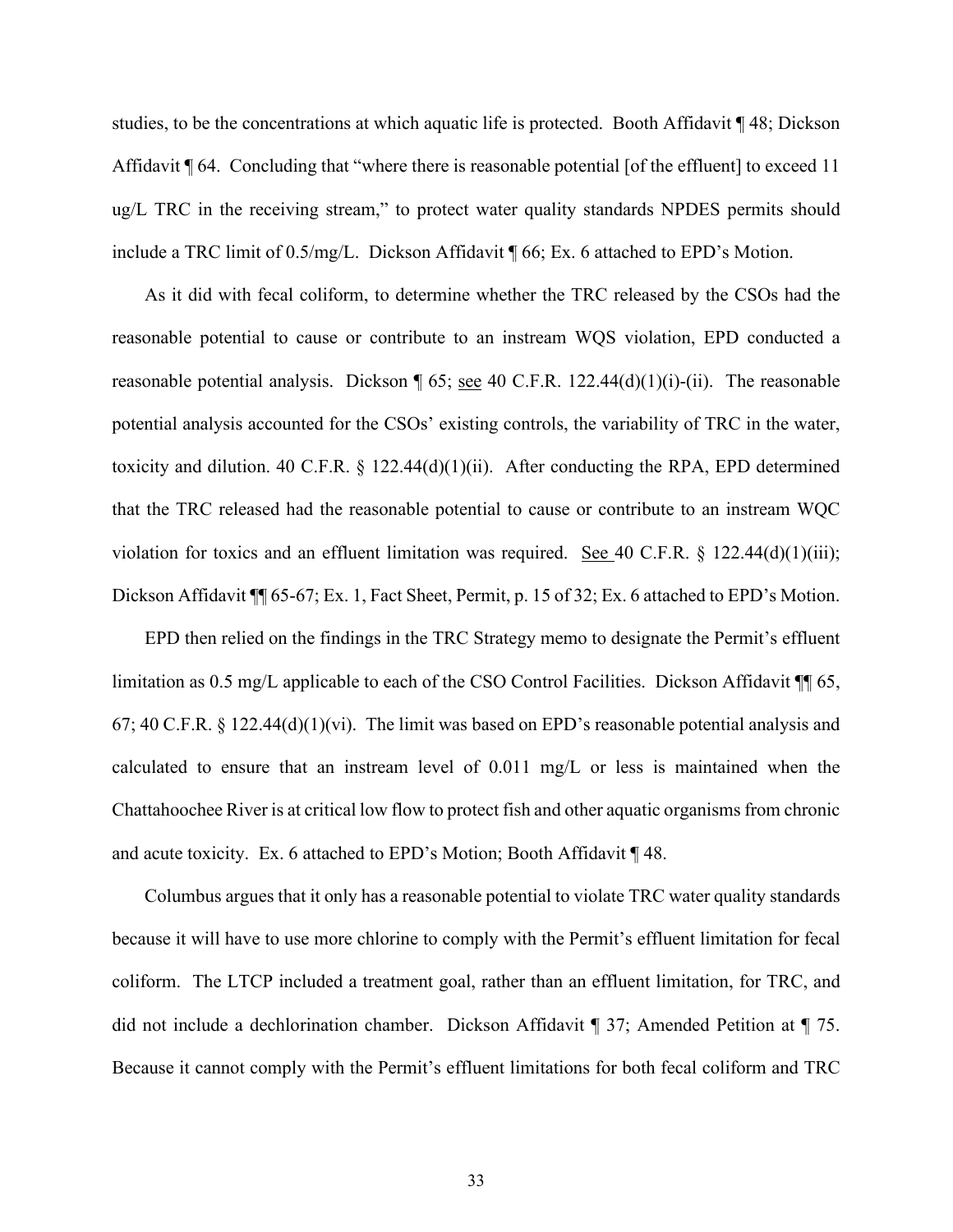studies, to be the concentrations at which aquatic life is protected. Booth Affidavit ¶ 48; Dickson Affidavit ¶ 64. Concluding that "where there is reasonable potential [of the effluent] to exceed 11 ug/L TRC in the receiving stream," to protect water quality standards NPDES permits should include a TRC limit of 0.5/mg/L. Dickson Affidavit ¶ 66; Ex. 6 attached to EPD's Motion.

As it did with fecal coliform, to determine whether the TRC released by the CSOs had the reasonable potential to cause or contribute to an instream WQS violation, EPD conducted a reasonable potential analysis. Dickson  $\parallel$  65; see 40 C.F.R. 122.44(d)(1)(i)-(ii). The reasonable potential analysis accounted for the CSOs' existing controls, the variability of TRC in the water, toxicity and dilution. 40 C.F.R.  $\S$  122.44(d)(1)(ii). After conducting the RPA, EPD determined that the TRC released had the reasonable potential to cause or contribute to an instream WQC violation for toxics and an effluent limitation was required. See 40 C.F.R.  $\S$  122.44(d)(1)(iii); Dickson Affidavit  $\P$  65-67; Ex. 1, Fact Sheet, Permit, p. 15 of 32; Ex. 6 attached to EPD's Motion.

EPD then relied on the findings in the TRC Strategy memo to designate the Permit's effluent limitation as 0.5 mg/L applicable to each of the CSO Control Facilities. Dickson Affidavit  $\P$  65, 67; 40 C.F.R. § 122.44(d)(1)(vi). The limit was based on EPD's reasonable potential analysis and calculated to ensure that an instream level of 0.011 mg/L or less is maintained when the Chattahoochee River is at critical low flow to protect fish and other aquatic organisms from chronic and acute toxicity. Ex. 6 attached to EPD's Motion; Booth Affidavit ¶ 48.

Columbus argues that it only has a reasonable potential to violate TRC water quality standards because it will have to use more chlorine to comply with the Permit's effluent limitation for fecal coliform. The LTCP included a treatment goal, rather than an effluent limitation, for TRC, and did not include a dechlorination chamber. Dickson Affidavit ¶ 37; Amended Petition at ¶ 75. Because it cannot comply with the Permit's effluent limitations for both fecal coliform and TRC